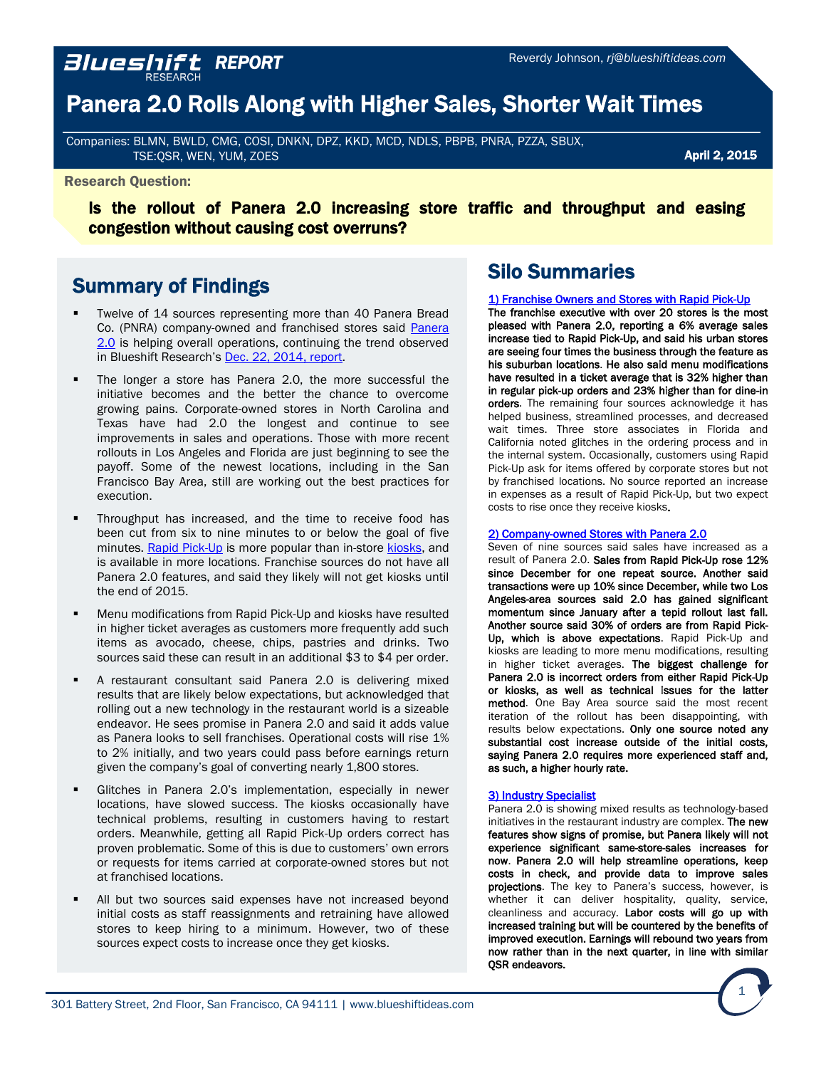# Panera 2.0 Rolls Along with Higher Sales, Shorter Wait Times

Companies: BLMN, BWLD, CMG, COSI, DNKN, DPZ, KKD, MCD, NDLS, PBPB, PNRA, PZZA, SBUX, TSE:QSR, WEN, YUM, ZOES

### April 2, 2015

#### Research Question:

Is the rollout of Panera 2.0 increasing store traffic and throughput and easing congestion without causing cost overruns?

## Summary of Findings

*REPORT* 

- Twelve of 14 sources representing more than 40 Panera Bread Co. (PNRA) company-owned and franchised stores said [Panera](https://www.panerabread.com/en-us/company/investor-relations-video.html) [2.0](https://www.panerabread.com/en-us/company/investor-relations-video.html) is helping overall operations, continuing the trend observed in Blueshift Research's [Dec. 22, 2014,](http://blueshiftideas.com/reports/121414PanerasNewFocusonDigitalOrderingisGettingHighMarks.pdf) report.
- The longer a store has Panera 2.0, the more successful the initiative becomes and the better the chance to overcome growing pains. Corporate-owned stores in North Carolina and Texas have had 2.0 the longest and continue to see improvements in sales and operations. Those with more recent rollouts in Los Angeles and Florida are just beginning to see the payoff. Some of the newest locations, including in the San Francisco Bay Area, still are working out the best practices for execution.
- Throughput has increased, and the time to receive food has been cut from six to nine minutes to or below the goal of five minutes. Rapid [Pick-Up](https://www.panerabread.com/en-us/articles/i-love-my-rapid-pick-up.html) is more popular than in-store [kiosks,](https://www.youtube.com/watch?v=NkkPaLbI67s) and is available in more locations. Franchise sources do not have all Panera 2.0 features, and said they likely will not get kiosks until the end of 2015.
- Menu modifications from Rapid Pick-Up and kiosks have resulted in higher ticket averages as customers more frequently add such items as avocado, cheese, chips, pastries and drinks. Two sources said these can result in an additional \$3 to \$4 per order.
- A restaurant consultant said Panera 2.0 is delivering mixed results that are likely below expectations, but acknowledged that rolling out a new technology in the restaurant world is a sizeable endeavor. He sees promise in Panera 2.0 and said it adds value as Panera looks to sell franchises. Operational costs will rise 1% to 2% initially, and two years could pass before earnings return given the company's goal of converting nearly 1,800 stores.
- Glitches in Panera 2.0's implementation, especially in newer locations, have slowed success. The kiosks occasionally have technical problems, resulting in customers having to restart orders. Meanwhile, getting all Rapid Pick-Up orders correct has proven problematic. Some of this is due to customers' own errors or requests for items carried at corporate-owned stores but not at franchised locations.
- All but two sources said expenses have not increased beyond initial costs as staff reassignments and retraining have allowed stores to keep hiring to a minimum. However, two of these sources expect costs to increase once they get kiosks.

## Silo Summaries

#### [1\) Franchise Owners and Stores with Rapid Pick-Up](#page-2-0)

The franchise executive with over 20 stores is the most pleased with Panera 2.0, reporting a 6% average sales increase tied to Rapid Pick-Up, and said his urban stores are seeing four times the business through the feature as his suburban locations. He also said menu modifications have resulted in a ticket average that is 32% higher than in regular pick-up orders and 23% higher than for dine-in orders. The remaining four sources acknowledge it has helped business, streamlined processes, and decreased wait times. Three store associates in Florida and California noted glitches in the ordering process and in the internal system. Occasionally, customers using Rapid Pick-Up ask for items offered by corporate stores but not by franchised locations. No source reported an increase in expenses as a result of Rapid Pick-Up, but two expect costs to rise once they receive kiosks.

#### [2\) Company-owned Stores with Panera 2.0](#page-7-0)

Seven of nine sources said sales have increased as a result of Panera 2.0. Sales from Rapid Pick-Up rose 12% since December for one repeat source. Another said transactions were up 10% since December, while two Los Angeles-area sources said 2.0 has gained significant momentum since January after a tepid rollout last fall. Another source said 30% of orders are from Rapid Pick-Up, which is above expectations. Rapid Pick-Up and kiosks are leading to more menu modifications, resulting in higher ticket averages. The biggest challenge for Panera 2.0 is incorrect orders from either Rapid Pick-Up or kiosks, as well as technical issues for the latter method. One Bay Area source said the most recent iteration of the rollout has been disappointing, with results below expectations. Only one source noted any substantial cost increase outside of the initial costs, saying Panera 2.0 requires more experienced staff and, as such, a higher hourly rate.

#### [3\) Industry Specialist](#page-15-0)

Panera 2.0 is showing mixed results as technology-based initiatives in the restaurant industry are complex. The new features show signs of promise, but Panera likely will not experience significant same-store-sales increases for now. Panera 2.0 will help streamline operations, keep costs in check, and provide data to improve sales projections. The key to Panera's success, however, is whether it can deliver hospitality, quality, service, cleanliness and accuracy. Labor costs will go up with increased training but will be countered by the benefits of improved execution. Earnings will rebound two years from now rather than in the next quarter, in line with similar QSR endeavors.

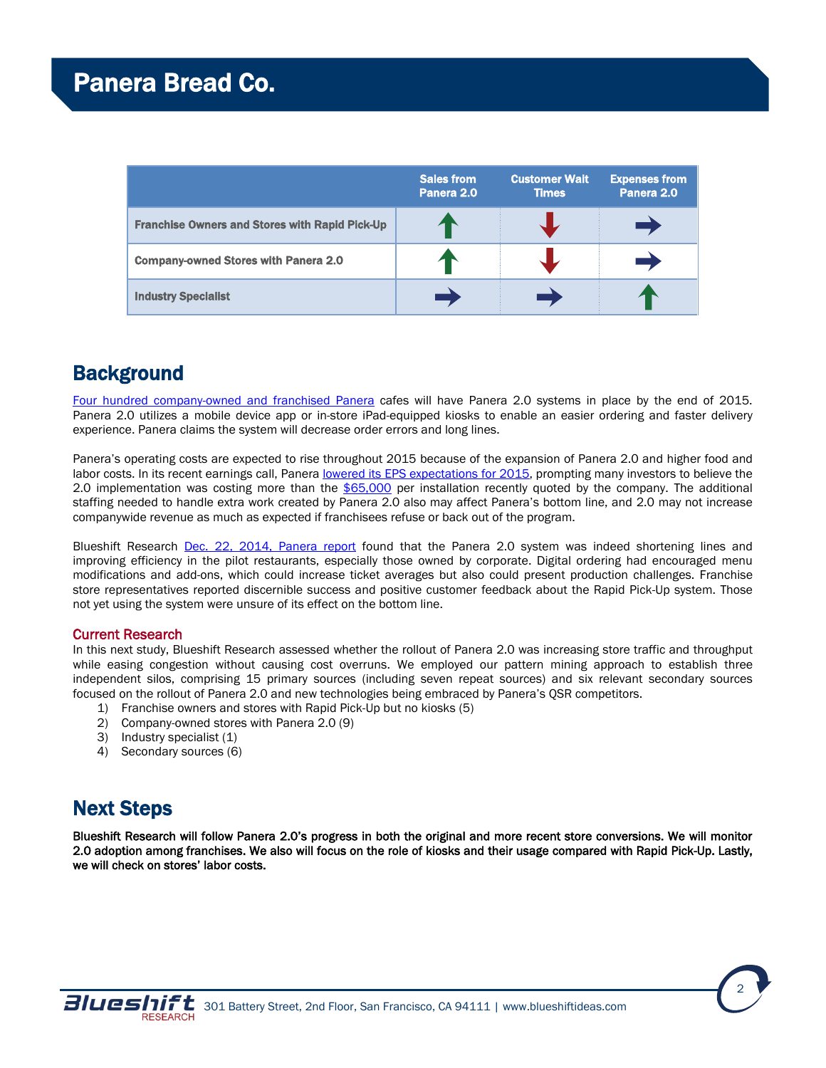|                                                       | <b>Sales from</b><br>Panera 2.0 | <b>Customer Wait</b><br><b>Times</b> | <b>Expenses from</b><br>Panera 2.0 |
|-------------------------------------------------------|---------------------------------|--------------------------------------|------------------------------------|
| <b>Franchise Owners and Stores with Rapid Pick-Up</b> |                                 |                                      |                                    |
| <b>Company-owned Stores with Panera 2.0</b>           |                                 |                                      |                                    |
| <b>Industry Specialist</b>                            |                                 |                                      |                                    |

# **Background**

Four hundred [company-owned](http://www.americanrecruiters.com/documents/file/Craig) and franchised Panera</u> cafes will have Panera 2.0 systems in place by the end of 2015. Panera 2.0 utilizes a mobile device app or in-store iPad-equipped kiosks to enable an easier ordering and faster delivery experience. Panera claims the system will decrease order errors and long lines.

Panera's operating costs are expected to rise throughout 2015 because of the expansion of Panera 2.0 and higher food and labor costs. In its recent earnings call, Panera lowered its EPS [expectations](http://www.stltoday.com/business/local/panera-shares-tumble-percent-on-revamp-worries/article_293cc859-651c-5a14-a76c-494c4c3f327d.html) for 2015, prompting many investors to believe the 2.0 implementation was costing more than the [\\$65,000](http://nrn.com/fast-casual/panera-extend-upgrades-300-more-units) per installation recently quoted by the company. The additional staffing needed to handle extra work created by Panera 2.0 also may affect Panera's bottom line, and 2.0 may not increase companywide revenue as much as expected if franchisees refuse or back out of the program.

Blueshift Research Dec. 22, 2014, [Panera](http://blueshiftideas.com/reports/121414PanerasNewFocusonDigitalOrderingisGettingHighMarks.pdf) report found that the Panera 2.0 system was indeed shortening lines and improving efficiency in the pilot restaurants, especially those owned by corporate. Digital ordering had encouraged menu modifications and add-ons, which could increase ticket averages but also could present production challenges. Franchise store representatives reported discernible success and positive customer feedback about the Rapid Pick-Up system. Those not yet using the system were unsure of its effect on the bottom line.

## Current Research

In this next study, Blueshift Research assessed whether the rollout of Panera 2.0 was increasing store traffic and throughput while easing congestion without causing cost overruns. We employed our pattern mining approach to establish three independent silos, comprising 15 primary sources (including seven repeat sources) and six relevant secondary sources focused on the rollout of Panera 2.0 and new technologies being embraced by Panera's QSR competitors.

- 1) Franchise owners and stores with Rapid Pick-Up but no kiosks (5)
- 2) Company-owned stores with Panera 2.0 (9)
- 3) Industry specialist (1)
- 4) Secondary sources (6)

# Next Steps

Blueshift Research will follow Panera 2.0's progress in both the original and more recent store conversions. We will monitor 2.0 adoption among franchises. We also will focus on the role of kiosks and their usage compared with Rapid Pick-Up. Lastly, we will check on stores' labor costs.



2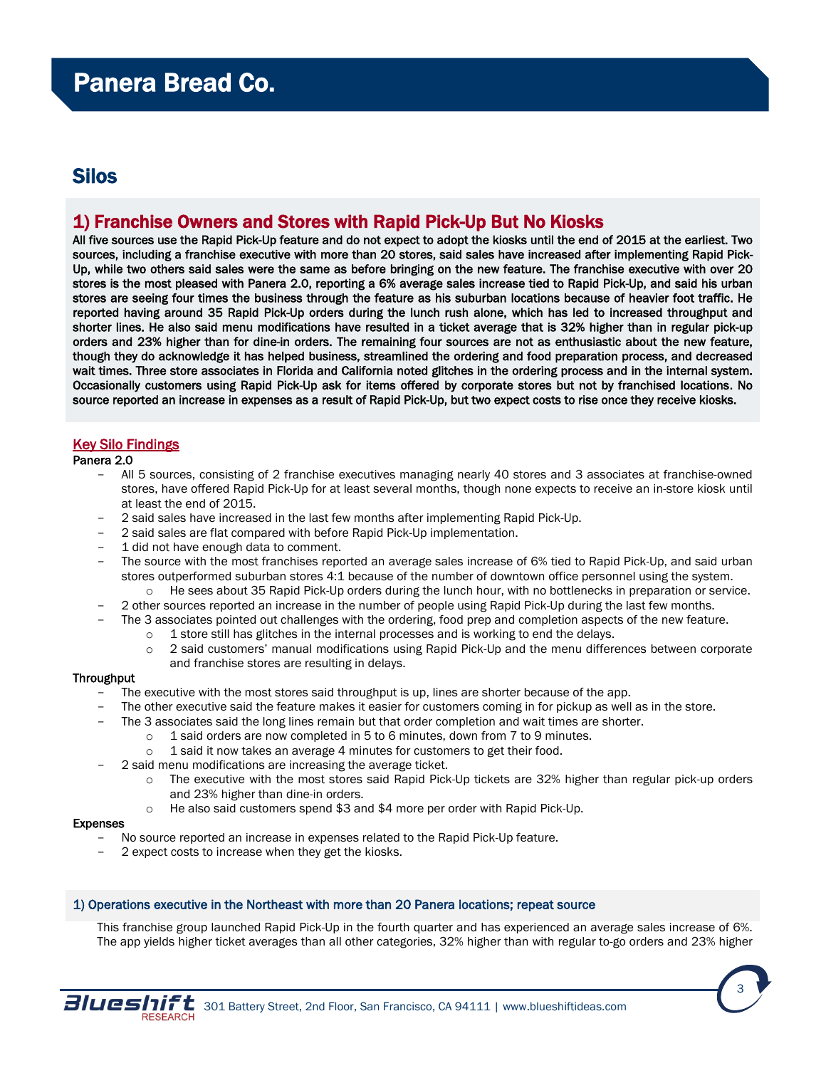## <span id="page-2-0"></span>Silos

## 1) Franchise Owners and Stores with Rapid Pick-Up But No Kiosks

All five sources use the Rapid Pick-Up feature and do not expect to adopt the kiosks until the end of 2015 at the earliest. Two sources, including a franchise executive with more than 20 stores, said sales have increased after implementing Rapid Pick-Up, while two others said sales were the same as before bringing on the new feature. The franchise executive with over 20 stores is the most pleased with Panera 2.0, reporting a 6% average sales increase tied to Rapid Pick-Up, and said his urban stores are seeing four times the business through the feature as his suburban locations because of heavier foot traffic. He reported having around 35 Rapid Pick-Up orders during the lunch rush alone, which has led to increased throughput and shorter lines. He also said menu modifications have resulted in a ticket average that is 32% higher than in regular pick-up orders and 23% higher than for dine-in orders. The remaining four sources are not as enthusiastic about the new feature, though they do acknowledge it has helped business, streamlined the ordering and food preparation process, and decreased wait times. Three store associates in Florida and California noted glitches in the ordering process and in the internal system. Occasionally customers using Rapid Pick-Up ask for items offered by corporate stores but not by franchised locations. No source reported an increase in expenses as a result of Rapid Pick-Up, but two expect costs to rise once they receive kiosks.

## Key Silo Findings

### Panera 2.0

- All 5 sources, consisting of 2 franchise executives managing nearly 40 stores and 3 associates at franchise-owned stores, have offered Rapid Pick-Up for at least several months, though none expects to receive an in-store kiosk until at least the end of 2015.
- 2 said sales have increased in the last few months after implementing Rapid Pick-Up.
- 2 said sales are flat compared with before Rapid Pick-Up implementation.
- 1 did not have enough data to comment.
- The source with the most franchises reported an average sales increase of 6% tied to Rapid Pick-Up, and said urban stores outperformed suburban stores 4:1 because of the number of downtown office personnel using the system.
	- o He sees about 35 Rapid Pick-Up orders during the lunch hour, with no bottlenecks in preparation or service.
- 2 other sources reported an increase in the number of people using Rapid Pick-Up during the last few months.
- The 3 associates pointed out challenges with the ordering, food prep and completion aspects of the new feature.
	- $\circ$  1 store still has glitches in the internal processes and is working to end the delays.
		- $\circ$  2 said customers' manual modifications using Rapid Pick-Up and the menu differences between corporate and franchise stores are resulting in delays.

#### **Throughput**

- The executive with the most stores said throughput is up, lines are shorter because of the app.
- The other executive said the feature makes it easier for customers coming in for pickup as well as in the store.
- The 3 associates said the long lines remain but that order completion and wait times are shorter.
	- $\circ$  1 said orders are now completed in 5 to 6 minutes, down from 7 to 9 minutes.
	- o 1 said it now takes an average 4 minutes for customers to get their food.
- 2 said menu modifications are increasing the average ticket.
	- o The executive with the most stores said Rapid Pick-Up tickets are 32% higher than regular pick-up orders and 23% higher than dine-in orders.
	- o He also said customers spend \$3 and \$4 more per order with Rapid Pick-Up.

#### Expenses

- No source reported an increase in expenses related to the Rapid Pick-Up feature.
- 2 expect costs to increase when they get the kiosks.

#### 1) Operations executive in the Northeast with more than 20 Panera locations; repeat source

This franchise group launched Rapid Pick-Up in the fourth quarter and has experienced an average sales increase of 6%. The app yields higher ticket averages than all other categories, 32% higher than with regular to-go orders and 23% higher

3

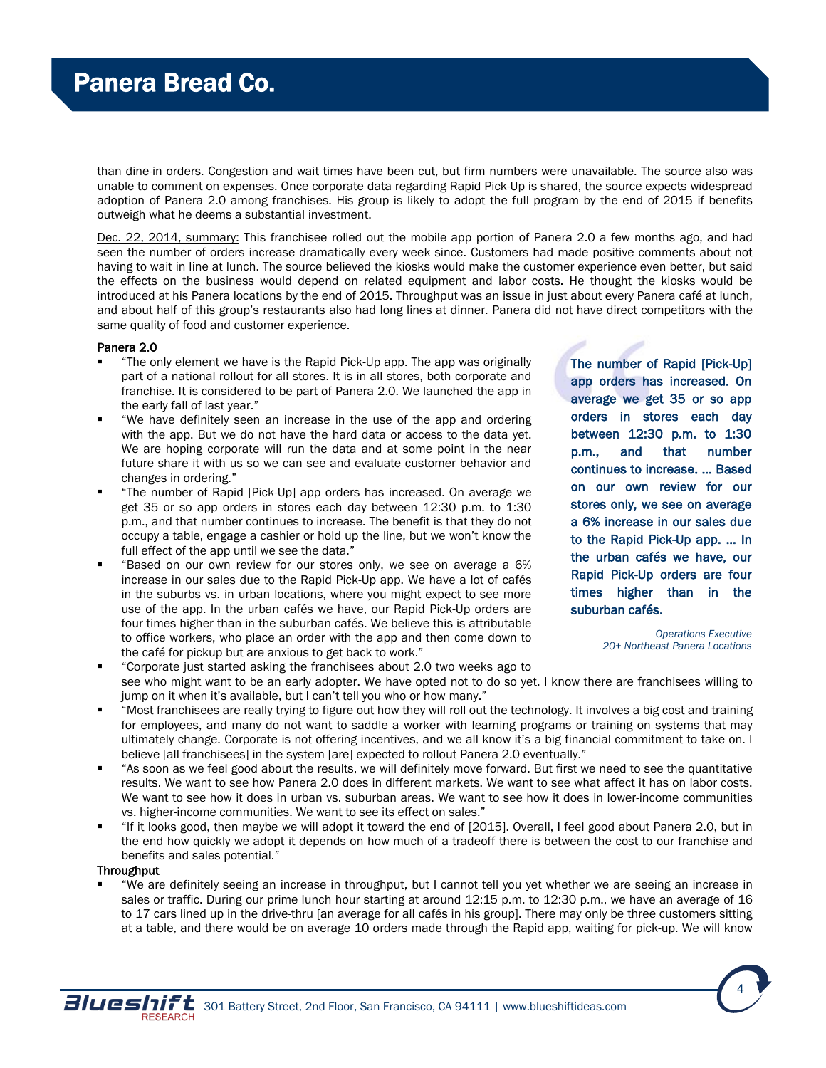than dine-in orders. Congestion and wait times have been cut, but firm numbers were unavailable. The source also was unable to comment on expenses. Once corporate data regarding Rapid Pick-Up is shared, the source expects widespread adoption of Panera 2.0 among franchises. His group is likely to adopt the full program by the end of 2015 if benefits outweigh what he deems a substantial investment.

Dec. 22, 2014, summary: This franchisee rolled out the mobile app portion of Panera 2.0 a few months ago, and had seen the number of orders increase dramatically every week since. Customers had made positive comments about not having to wait in line at lunch. The source believed the kiosks would make the customer experience even better, but said the effects on the business would depend on related equipment and labor costs. He thought the kiosks would be introduced at his Panera locations by the end of 2015. Throughput was an issue in just about every Panera café at lunch, and about half of this group's restaurants also had long lines at dinner. Panera did not have direct competitors with the same quality of food and customer experience.

#### Panera 2.0

- "The only element we have is the Rapid Pick-Up app. The app was originally part of a national rollout for all stores. It is in all stores, both corporate and franchise. It is considered to be part of Panera 2.0. We launched the app in the early fall of last year."
- "We have definitely seen an increase in the use of the app and ordering with the app. But we do not have the hard data or access to the data yet. We are hoping corporate will run the data and at some point in the near future share it with us so we can see and evaluate customer behavior and changes in ordering."
- "The number of Rapid [Pick-Up] app orders has increased. On average we get 35 or so app orders in stores each day between 12:30 p.m. to 1:30 p.m., and that number continues to increase. The benefit is that they do not occupy a table, engage a cashier or hold up the line, but we won't know the full effect of the app until we see the data."
- "Based on our own review for our stores only, we see on average a 6% increase in our sales due to the Rapid Pick-Up app. We have a lot of cafés in the suburbs vs. in urban locations, where you might expect to see more use of the app. In the urban cafés we have, our Rapid Pick-Up orders are four times higher than in the suburban cafés. We believe this is attributable to office workers, who place an order with the app and then come down to the café for pickup but are anxious to get back to work."

The number of Rapid [Pick-Up] app orders has increased. On average we get 35 or so app orders in stores each day between 12:30 p.m. to 1:30 p.m., and that number continues to increase. … Based on our own review for our stores only, we see on average a 6% increase in our sales due to the Rapid Pick-Up app. … In the urban cafés we have, our Rapid Pick-Up orders are four times higher than in the suburban cafés.

> *Operations Executive 20+ Northeast Panera Locations*

> > 4

- "Corporate just started asking the franchisees about 2.0 two weeks ago to see who might want to be an early adopter. We have opted not to do so yet. I know there are franchisees willing to jump on it when it's available, but I can't tell you who or how many."
- "Most franchisees are really trying to figure out how they will roll out the technology. It involves a big cost and training for employees, and many do not want to saddle a worker with learning programs or training on systems that may ultimately change. Corporate is not offering incentives, and we all know it's a big financial commitment to take on. I believe [all franchisees] in the system [are] expected to rollout Panera 2.0 eventually."
- "As soon as we feel good about the results, we will definitely move forward. But first we need to see the quantitative results. We want to see how Panera 2.0 does in different markets. We want to see what affect it has on labor costs. We want to see how it does in urban vs. suburban areas. We want to see how it does in lower-income communities vs. higher-income communities. We want to see its effect on sales."
- "If it looks good, then maybe we will adopt it toward the end of [2015]. Overall, I feel good about Panera 2.0, but in the end how quickly we adopt it depends on how much of a tradeoff there is between the cost to our franchise and benefits and sales potential."

#### **Throughput**

 "We are definitely seeing an increase in throughput, but I cannot tell you yet whether we are seeing an increase in sales or traffic. During our prime lunch hour starting at around 12:15 p.m. to 12:30 p.m., we have an average of 16 to 17 cars lined up in the drive-thru [an average for all cafés in his group]. There may only be three customers sitting at a table, and there would be on average 10 orders made through the Rapid app, waiting for pick-up. We will know

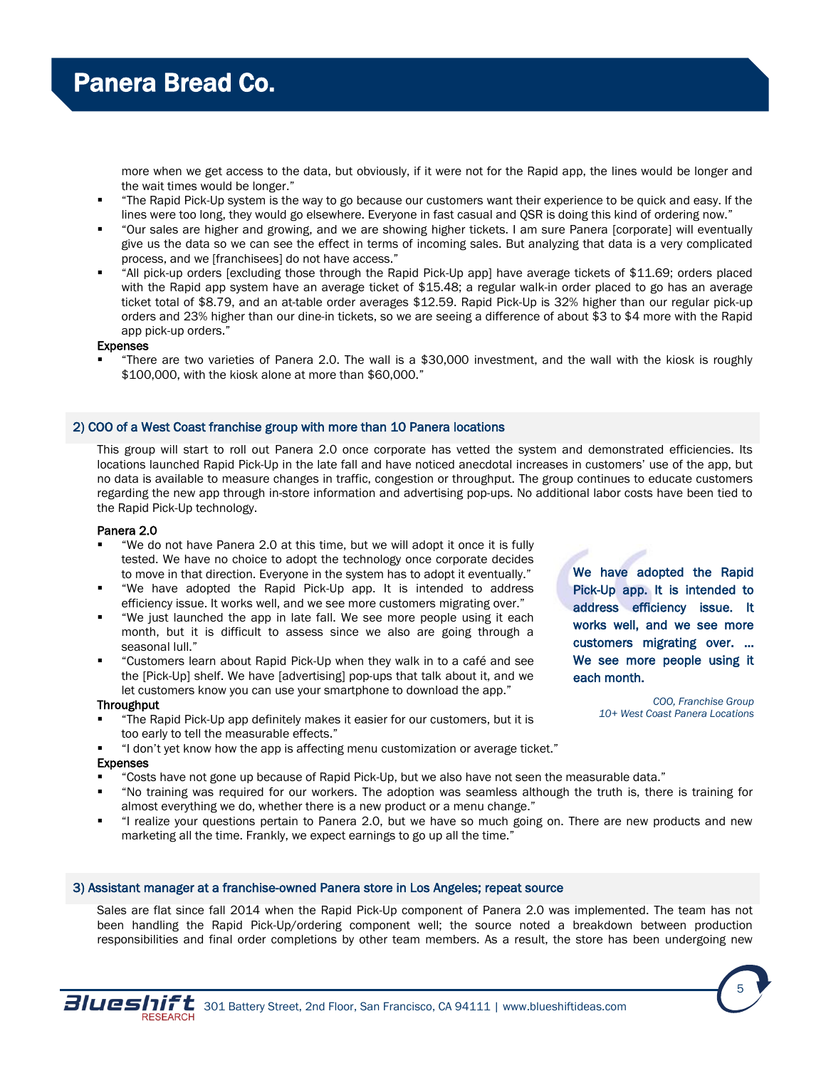more when we get access to the data, but obviously, if it were not for the Rapid app, the lines would be longer and the wait times would be longer."

- "The Rapid Pick-Up system is the way to go because our customers want their experience to be quick and easy. If the lines were too long, they would go elsewhere. Everyone in fast casual and QSR is doing this kind of ordering now."
- "Our sales are higher and growing, and we are showing higher tickets. I am sure Panera [corporate] will eventually give us the data so we can see the effect in terms of incoming sales. But analyzing that data is a very complicated process, and we [franchisees] do not have access."
- "All pick-up orders [excluding those through the Rapid Pick-Up app] have average tickets of \$11.69; orders placed with the Rapid app system have an average ticket of \$15.48; a regular walk-in order placed to go has an average ticket total of \$8.79, and an at-table order averages \$12.59. Rapid Pick-Up is 32% higher than our regular pick-up orders and 23% higher than our dine-in tickets, so we are seeing a difference of about \$3 to \$4 more with the Rapid app pick-up orders."

#### Expenses

 "There are two varieties of Panera 2.0. The wall is a \$30,000 investment, and the wall with the kiosk is roughly \$100,000, with the kiosk alone at more than \$60,000."

#### 2) COO of a West Coast franchise group with more than 10 Panera locations

This group will start to roll out Panera 2.0 once corporate has vetted the system and demonstrated efficiencies. Its locations launched Rapid Pick-Up in the late fall and have noticed anecdotal increases in customers' use of the app, but no data is available to measure changes in traffic, congestion or throughput. The group continues to educate customers regarding the new app through in-store information and advertising pop-ups. No additional labor costs have been tied to the Rapid Pick-Up technology.

#### Panera 2.0

- "We do not have Panera 2.0 at this time, but we will adopt it once it is fully tested. We have no choice to adopt the technology once corporate decides to move in that direction. Everyone in the system has to adopt it eventually."
- "We have adopted the Rapid Pick-Up app. It is intended to address efficiency issue. It works well, and we see more customers migrating over."
- "We just launched the app in late fall. We see more people using it each month, but it is difficult to assess since we also are going through a seasonal lull."
- "Customers learn about Rapid Pick-Up when they walk in to a café and see the [Pick-Up] shelf. We have [advertising] pop-ups that talk about it, and we let customers know you can use your smartphone to download the app."

#### Throughput

- "The Rapid Pick-Up app definitely makes it easier for our customers, but it is too early to tell the measurable effects."
- "I don't yet know how the app is affecting menu customization or average ticket." Expenses
- "Costs have not gone up because of Rapid Pick-Up, but we also have not seen the measurable data."
- "No training was required for our workers. The adoption was seamless although the truth is, there is training for almost everything we do, whether there is a new product or a menu change."
- "I realize your questions pertain to Panera 2.0, but we have so much going on. There are new products and new marketing all the time. Frankly, we expect earnings to go up all the time."

#### 3) Assistant manager at a franchise-owned Panera store in Los Angeles; repeat source

Sales are flat since fall 2014 when the Rapid Pick-Up component of Panera 2.0 was implemented. The team has not been handling the Rapid Pick-Up/ordering component well; the source noted a breakdown between production responsibilities and final order completions by other team members. As a result, the store has been undergoing new

We have adopted the Rapid Pick-Up app. It is intended to address efficiency issue. It works well, and we see more customers migrating over. … We see more people using it each month.

> *COO, Franchise Group 10+ West Coast Panera Locations*



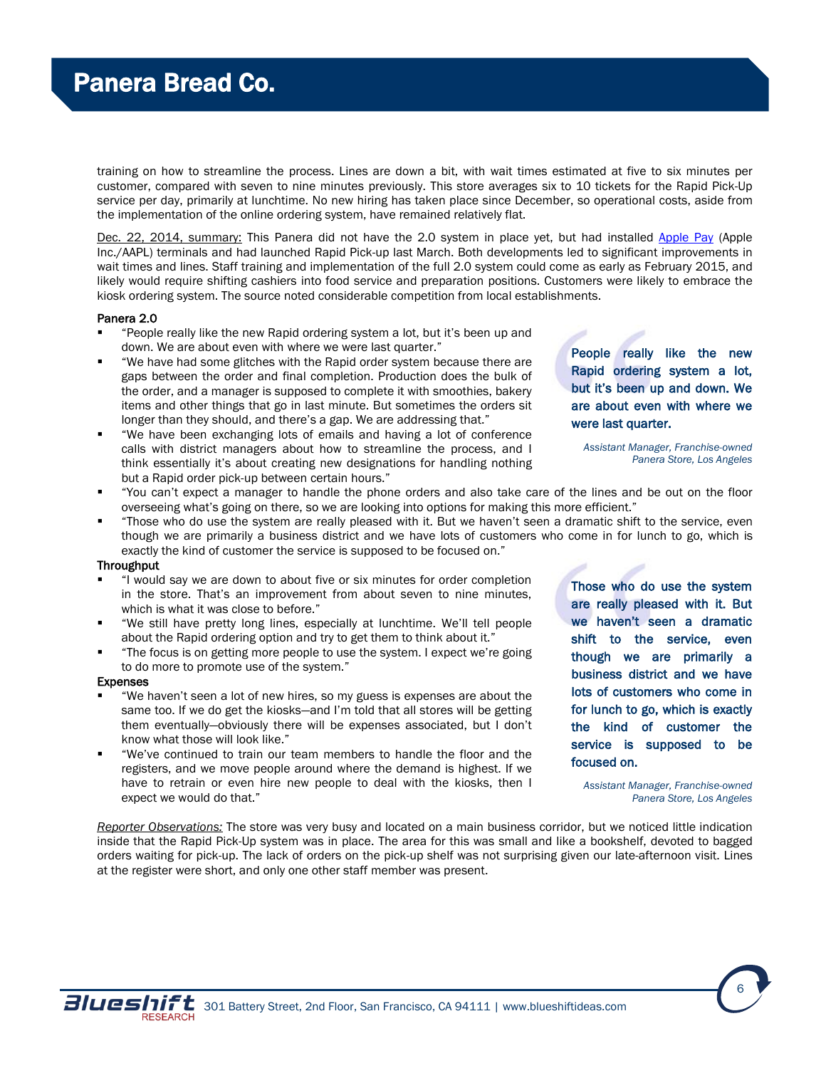training on how to streamline the process. Lines are down a bit, with wait times estimated at five to six minutes per customer, compared with seven to nine minutes previously. This store averages six to 10 tickets for the Rapid Pick-Up service per day, primarily at lunchtime. No new hiring has taken place since December, so operational costs, aside from the implementation of the online ordering system, have remained relatively flat.

Dec. 22, 2014, summary: This Panera did not have the 2.0 system in place yet, but had installed [Apple Pay](http://www.forbes.com/sites/roberthof/2015/01/27/apple-pay-starts-to-take-off-leaving-competition-in-the-dust/) (Apple Inc./AAPL) terminals and had launched Rapid Pick-up last March. Both developments led to significant improvements in wait times and lines. Staff training and implementation of the full 2.0 system could come as early as February 2015, and likely would require shifting cashiers into food service and preparation positions. Customers were likely to embrace the kiosk ordering system. The source noted considerable competition from local establishments.

#### Panera 2.0

- "People really like the new Rapid ordering system a lot, but it's been up and down. We are about even with where we were last quarter."
- "We have had some glitches with the Rapid order system because there are gaps between the order and final completion. Production does the bulk of the order, and a manager is supposed to complete it with smoothies, bakery items and other things that go in last minute. But sometimes the orders sit longer than they should, and there's a gap. We are addressing that."
- "We have been exchanging lots of emails and having a lot of conference calls with district managers about how to streamline the process, and I think essentially it's about creating new designations for handling nothing but a Rapid order pick-up between certain hours."
- "You can't expect a manager to handle the phone orders and also take care of the lines and be out on the floor overseeing what's going on there, so we are looking into options for making this more efficient."
- "Those who do use the system are really pleased with it. But we haven't seen a dramatic shift to the service, even though we are primarily a business district and we have lots of customers who come in for lunch to go, which is exactly the kind of customer the service is supposed to be focused on."

#### **Throughput**

- "I would say we are down to about five or six minutes for order completion in the store. That's an improvement from about seven to nine minutes, which is what it was close to before."
- "We still have pretty long lines, especially at lunchtime. We'll tell people about the Rapid ordering option and try to get them to think about it."
- "The focus is on getting more people to use the system. I expect we're going to do more to promote use of the system."

#### Expenses

- "We haven't seen a lot of new hires, so my guess is expenses are about the same too. If we do get the kiosks—and I'm told that all stores will be getting them eventually—obviously there will be expenses associated, but I don't know what those will look like."
- "We've continued to train our team members to handle the floor and the registers, and we move people around where the demand is highest. If we have to retrain or even hire new people to deal with the kiosks, then I expect we would do that."

*Reporter Observations:* The store was very busy and located on a main business corridor, but we noticed little indication inside that the Rapid Pick-Up system was in place. The area for this was small and like a bookshelf, devoted to bagged orders waiting for pick-up. The lack of orders on the pick-up shelf was not surprising given our late-afternoon visit. Lines at the register were short, and only one other staff member was present.

People really like the new Rapid ordering system a lot, but it's been up and down. We are about even with where we were last quarter.

*Assistant Manager, Franchise-owned Panera Store, Los Angeles*

Those who do use the system are really pleased with it. But we haven't seen a dramatic shift to the service, even though we are primarily a business district and we have lots of customers who come in for lunch to go, which is exactly the kind of customer the service is supposed to be focused on.

*Assistant Manager, Franchise-owned Panera Store, Los Angeles*

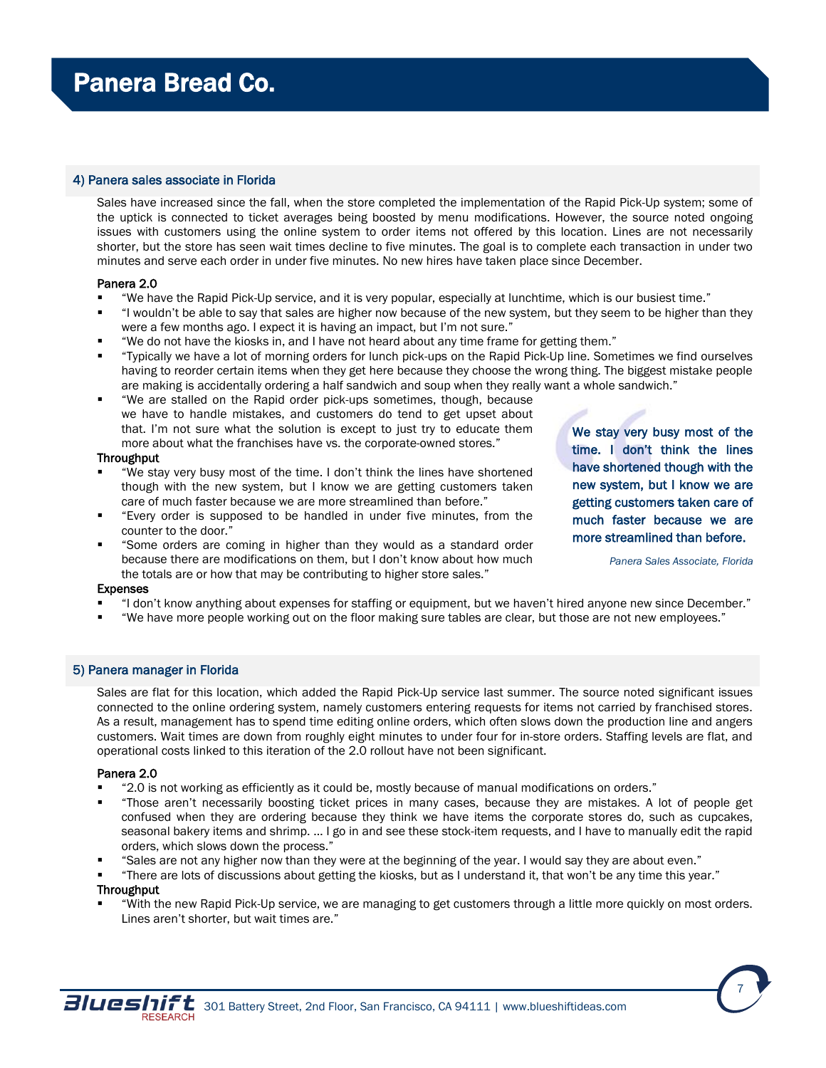#### 4) Panera sales associate in Florida

Sales have increased since the fall, when the store completed the implementation of the Rapid Pick-Up system; some of the uptick is connected to ticket averages being boosted by menu modifications. However, the source noted ongoing issues with customers using the online system to order items not offered by this location. Lines are not necessarily shorter, but the store has seen wait times decline to five minutes. The goal is to complete each transaction in under two minutes and serve each order in under five minutes. No new hires have taken place since December.

#### Panera 2.0

- "We have the Rapid Pick-Up service, and it is very popular, especially at lunchtime, which is our busiest time."
- "I wouldn't be able to say that sales are higher now because of the new system, but they seem to be higher than they were a few months ago. I expect it is having an impact, but I'm not sure."
- "We do not have the kiosks in, and I have not heard about any time frame for getting them."
- "Typically we have a lot of morning orders for lunch pick-ups on the Rapid Pick-Up line. Sometimes we find ourselves having to reorder certain items when they get here because they choose the wrong thing. The biggest mistake people are making is accidentally ordering a half sandwich and soup when they really want a whole sandwich."
- "We are stalled on the Rapid order pick-ups sometimes, though, because we have to handle mistakes, and customers do tend to get upset about that. I'm not sure what the solution is except to just try to educate them more about what the franchises have vs. the corporate-owned stores."

#### **Throughput**

- "We stay very busy most of the time. I don't think the lines have shortened though with the new system, but I know we are getting customers taken care of much faster because we are more streamlined than before."
- "Every order is supposed to be handled in under five minutes, from the counter to the door."
- "Some orders are coming in higher than they would as a standard order because there are modifications on them, but I don't know about how much the totals are or how that may be contributing to higher store sales."

## We stay very busy most of the time. I don't think the lines have shortened though with the new system, but I know we are getting customers taken care of much faster because we are more streamlined than before.

*Panera Sales Associate, Florida*

7

#### Expenses

- "I don't know anything about expenses for staffing or equipment, but we haven't hired anyone new since December."
- "We have more people working out on the floor making sure tables are clear, but those are not new employees."

## 5) Panera manager in Florida

Sales are flat for this location, which added the Rapid Pick-Up service last summer. The source noted significant issues connected to the online ordering system, namely customers entering requests for items not carried by franchised stores. As a result, management has to spend time editing online orders, which often slows down the production line and angers customers. Wait times are down from roughly eight minutes to under four for in-store orders. Staffing levels are flat, and operational costs linked to this iteration of the 2.0 rollout have not been significant.

#### Panera 2.0

- "2.0 is not working as efficiently as it could be, mostly because of manual modifications on orders."
- "Those aren't necessarily boosting ticket prices in many cases, because they are mistakes. A lot of people get confused when they are ordering because they think we have items the corporate stores do, such as cupcakes, seasonal bakery items and shrimp. … I go in and see these stock-item requests, and I have to manually edit the rapid orders, which slows down the process."
- "Sales are not any higher now than they were at the beginning of the year. I would say they are about even."
- "There are lots of discussions about getting the kiosks, but as I understand it, that won't be any time this year."

#### **Throughput**

 "With the new Rapid Pick-Up service, we are managing to get customers through a little more quickly on most orders. Lines aren't shorter, but wait times are."

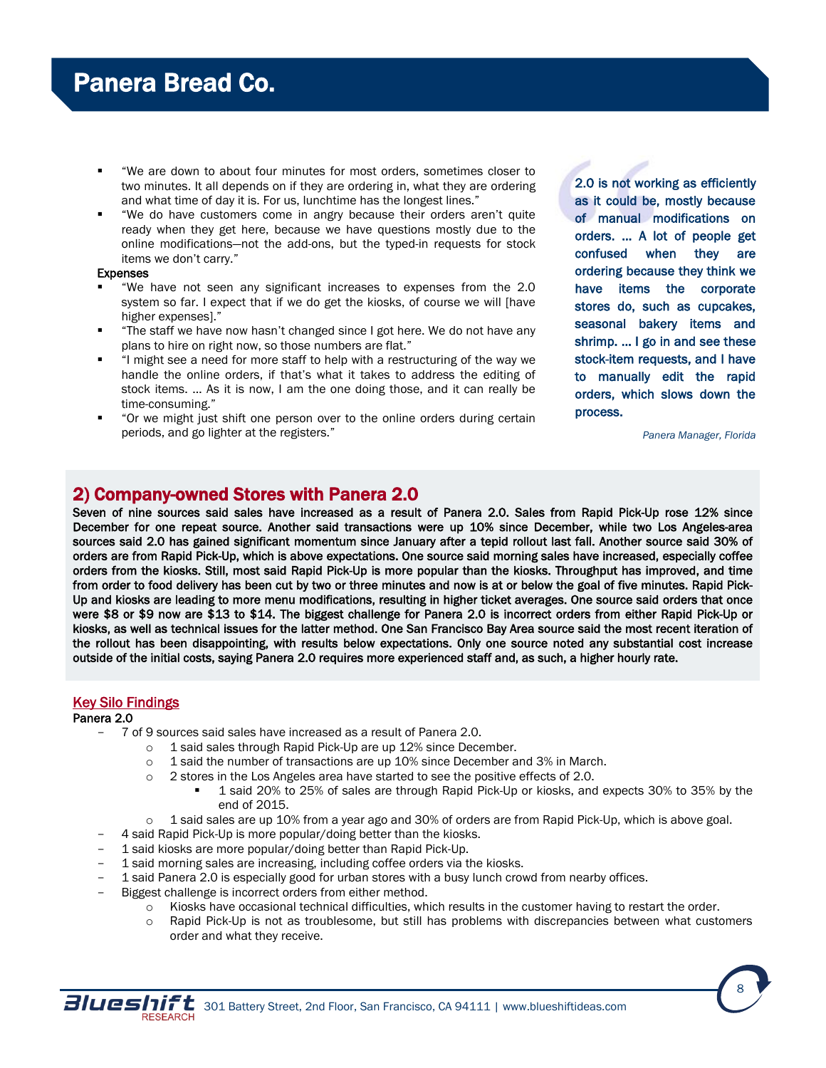- <span id="page-7-0"></span> "We are down to about four minutes for most orders, sometimes closer to two minutes. It all depends on if they are ordering in, what they are ordering and what time of day it is. For us, lunchtime has the longest lines."
- "We do have customers come in angry because their orders aren't quite ready when they get here, because we have questions mostly due to the online modifications—not the add-ons, but the typed-in requests for stock items we don't carry."

#### Expenses

- "We have not seen any significant increases to expenses from the 2.0 system so far. I expect that if we do get the kiosks, of course we will [have higher expenses]."
- "The staff we have now hasn't changed since I got here. We do not have any plans to hire on right now, so those numbers are flat."
- "I might see a need for more staff to help with a restructuring of the way we handle the online orders, if that's what it takes to address the editing of stock items. … As it is now, I am the one doing those, and it can really be time-consuming."
- "Or we might just shift one person over to the online orders during certain periods, and go lighter at the registers."

2.0 is not working as efficiently as it could be, mostly because of manual modifications on orders. … A lot of people get confused when they are ordering because they think we have items the corporate stores do, such as cupcakes, seasonal bakery items and shrimp. ... I go in and see these stock-item requests, and I have to manually edit the rapid orders, which slows down the process.

*Panera Manager, Florida*

## 2) Company-owned Stores with Panera 2.0

Seven of nine sources said sales have increased as a result of Panera 2.0. Sales from Rapid Pick-Up rose 12% since December for one repeat source. Another said transactions were up 10% since December, while two Los Angeles-area sources said 2.0 has gained significant momentum since January after a tepid rollout last fall. Another source said 30% of orders are from Rapid Pick-Up, which is above expectations. One source said morning sales have increased, especially coffee orders from the kiosks. Still, most said Rapid Pick-Up is more popular than the kiosks. Throughput has improved, and time from order to food delivery has been cut by two or three minutes and now is at or below the goal of five minutes. Rapid Pick-Up and kiosks are leading to more menu modifications, resulting in higher ticket averages. One source said orders that once were \$8 or \$9 now are \$13 to \$14. The biggest challenge for Panera 2.0 is incorrect orders from either Rapid Pick-Up or kiosks, as well as technical issues for the latter method. One San Francisco Bay Area source said the most recent iteration of the rollout has been disappointing, with results below expectations. Only one source noted any substantial cost increase outside of the initial costs, saying Panera 2.0 requires more experienced staff and, as such, a higher hourly rate.

## Key Silo Findings

## Panera 2.0

- 7 of 9 sources said sales have increased as a result of Panera 2.0.
	- o 1 said sales through Rapid Pick-Up are up 12% since December.
	- $\circ$  1 said the number of transactions are up 10% since December and 3% in March.
	- $\circ$  2 stores in the Los Angeles area have started to see the positive effects of 2.0.
		- 1 said 20% to 25% of sales are through Rapid Pick-Up or kiosks, and expects 30% to 35% by the end of 2015.
	- $\circ$  1 said sales are up 10% from a year ago and 30% of orders are from Rapid Pick-Up, which is above goal.
	- 4 said Rapid Pick-Up is more popular/doing better than the kiosks.
- 1 said kiosks are more popular/doing better than Rapid Pick-Up.
- 1 said morning sales are increasing, including coffee orders via the kiosks.
- 1 said Panera 2.0 is especially good for urban stores with a busy lunch crowd from nearby offices.
- Biggest challenge is incorrect orders from either method.
	- $\circ$  Kiosks have occasional technical difficulties, which results in the customer having to restart the order.
	- $\circ$  Rapid Pick-Up is not as troublesome, but still has problems with discrepancies between what customers order and what they receive.



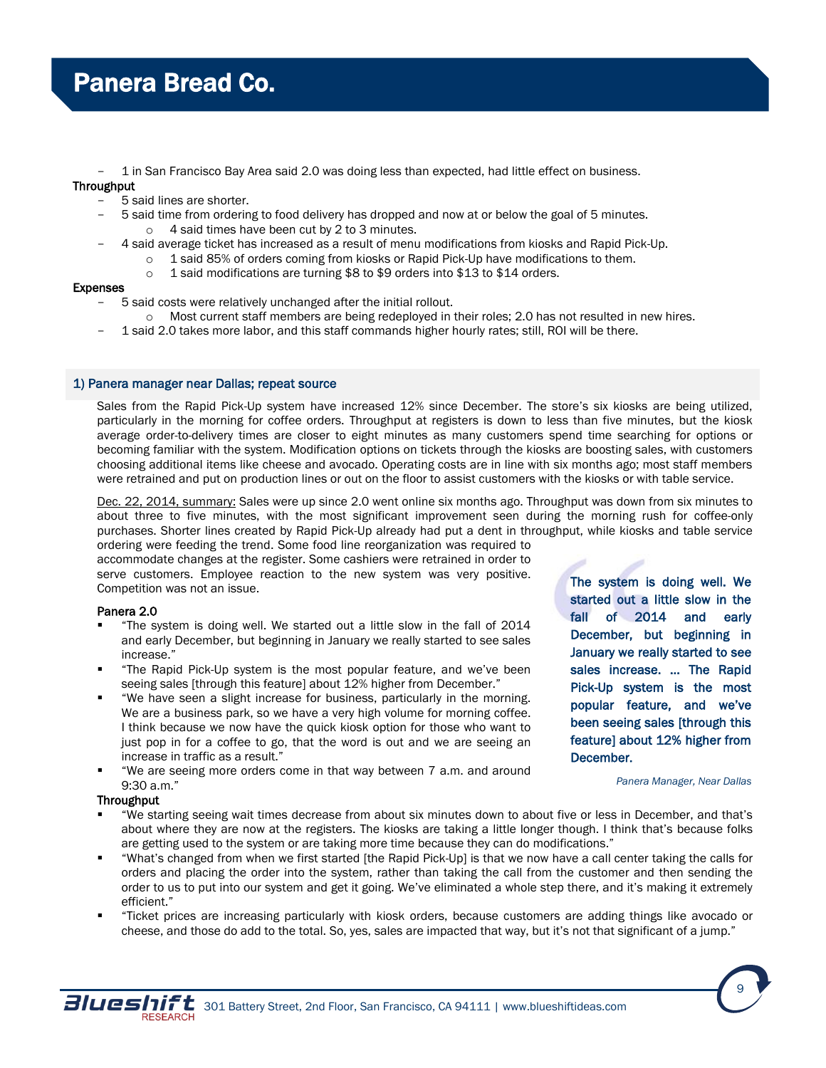- 1 in San Francisco Bay Area said 2.0 was doing less than expected, had little effect on business.

## **Throughput**

- 5 said lines are shorter.
- 5 said time from ordering to food delivery has dropped and now at or below the goal of 5 minutes. o 4 said times have been cut by 2 to 3 minutes.
- 4 said average ticket has increased as a result of menu modifications from kiosks and Rapid Pick-Up.
	- o 1 said 85% of orders coming from kiosks or Rapid Pick-Up have modifications to them.
		- o 1 said modifications are turning \$8 to \$9 orders into \$13 to \$14 orders.

#### Expenses

- 5 said costs were relatively unchanged after the initial rollout.
	- o Most current staff members are being redeployed in their roles; 2.0 has not resulted in new hires.
- 1 said 2.0 takes more labor, and this staff commands higher hourly rates; still, ROI will be there.

#### 1) Panera manager near Dallas; repeat source

Sales from the Rapid Pick-Up system have increased 12% since December. The store's six kiosks are being utilized, particularly in the morning for coffee orders. Throughput at registers is down to less than five minutes, but the kiosk average order-to-delivery times are closer to eight minutes as many customers spend time searching for options or becoming familiar with the system. Modification options on tickets through the kiosks are boosting sales, with customers choosing additional items like cheese and avocado. Operating costs are in line with six months ago; most staff members were retrained and put on production lines or out on the floor to assist customers with the kiosks or with table service.

Dec. 22, 2014, summary: Sales were up since 2.0 went online six months ago. Throughput was down from six minutes to about three to five minutes, with the most significant improvement seen during the morning rush for coffee-only purchases. Shorter lines created by Rapid Pick-Up already had put a dent in throughput, while kiosks and table service ordering were feeding the trend. Some food line reorganization was required to

accommodate changes at the register. Some cashiers were retrained in order to serve customers. Employee reaction to the new system was very positive. Competition was not an issue.

## Panera 2.0

- "The system is doing well. We started out a little slow in the fall of 2014 and early December, but beginning in January we really started to see sales increase."
- "The Rapid Pick-Up system is the most popular feature, and we've been seeing sales [through this feature] about 12% higher from December."
- "We have seen a slight increase for business, particularly in the morning. We are a business park, so we have a very high volume for morning coffee. I think because we now have the quick kiosk option for those who want to just pop in for a coffee to go, that the word is out and we are seeing an increase in traffic as a result."
- "We are seeing more orders come in that way between 7 a.m. and around 9:30 a.m."

#### **Throughput**

- "We starting seeing wait times decrease from about six minutes down to about five or less in December, and that's about where they are now at the registers. The kiosks are taking a little longer though. I think that's because folks are getting used to the system or are taking more time because they can do modifications."
- "What's changed from when we first started [the Rapid Pick-Up] is that we now have a call center taking the calls for orders and placing the order into the system, rather than taking the call from the customer and then sending the order to us to put into our system and get it going. We've eliminated a whole step there, and it's making it extremely efficient."
- "Ticket prices are increasing particularly with kiosk orders, because customers are adding things like avocado or cheese, and those do add to the total. So, yes, sales are impacted that way, but it's not that significant of a jump."

The system is doing well. We started out a little slow in the fall of 2014 and early December, but beginning in January we really started to see sales increase. … The Rapid Pick-Up system is the most popular feature, and we've been seeing sales [through this feature] about 12% higher from December.

#### *Panera Manager, Near Dallas*



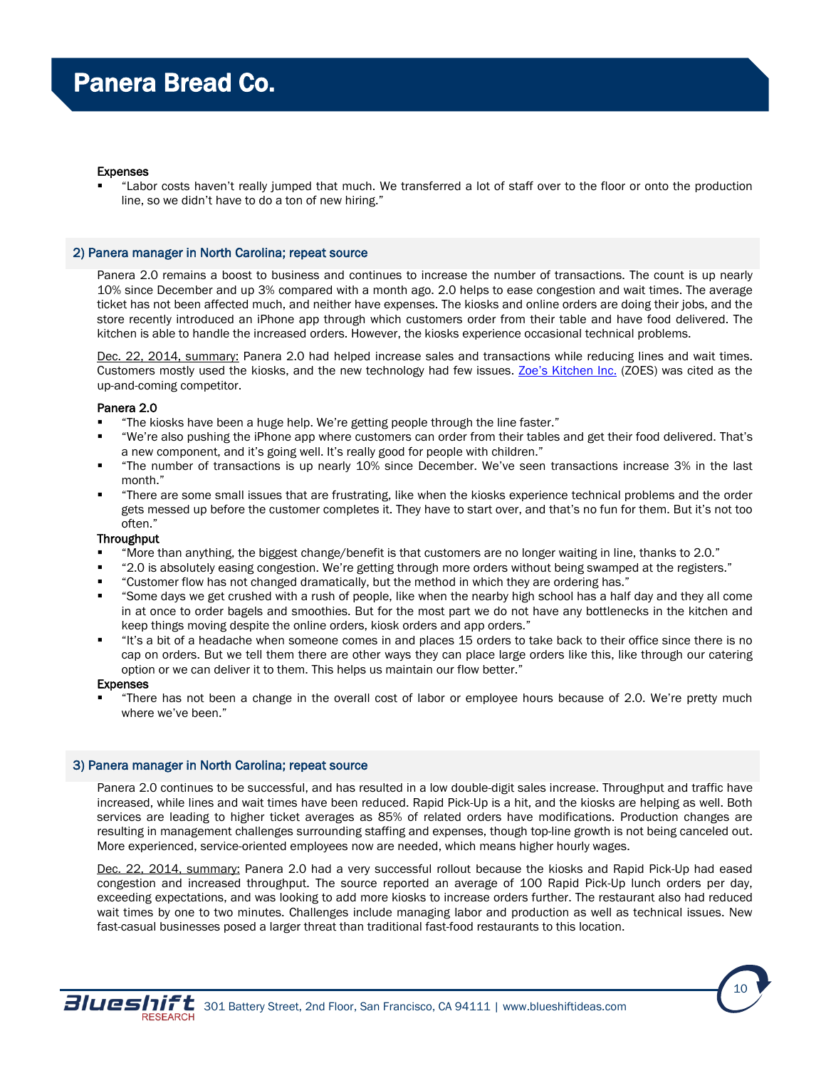#### Expenses

 "Labor costs haven't really jumped that much. We transferred a lot of staff over to the floor or onto the production line, so we didn't have to do a ton of new hiring."

#### 2) Panera manager in North Carolina; repeat source

Panera 2.0 remains a boost to business and continues to increase the number of transactions. The count is up nearly 10% since December and up 3% compared with a month ago. 2.0 helps to ease congestion and wait times. The average ticket has not been affected much, and neither have expenses. The kiosks and online orders are doing their jobs, and the store recently introduced an iPhone app through which customers order from their table and have food delivered. The kitchen is able to handle the increased orders. However, the kiosks experience occasional technical problems.

2014, summary: Panera 2.0 had helped increase sales and transactions while reducing lines and wait times. Customers mostly used the kiosks, and the new technology had few issues. Zoe's [Kitchen Inc.](http://zoeskitchen.com/Home.aspx) (ZOES) was cited as the up-and-coming competitor.

#### Panera 2.0

- "The kiosks have been a huge help. We're getting people through the line faster."
- "We're also pushing the iPhone app where customers can order from their tables and get their food delivered. That's a new component, and it's going well. It's really good for people with children."
- "The number of transactions is up nearly 10% since December. We've seen transactions increase 3% in the last month."
- "There are some small issues that are frustrating, like when the kiosks experience technical problems and the order gets messed up before the customer completes it. They have to start over, and that's no fun for them. But it's not too often."

#### Throughput

- "More than anything, the biggest change/benefit is that customers are no longer waiting in line, thanks to 2.0."
- "2.0 is absolutely easing congestion. We're getting through more orders without being swamped at the registers."
- "Customer flow has not changed dramatically, but the method in which they are ordering has."
- "Some days we get crushed with a rush of people, like when the nearby high school has a half day and they all come in at once to order bagels and smoothies. But for the most part we do not have any bottlenecks in the kitchen and keep things moving despite the online orders, kiosk orders and app orders."
- "It's a bit of a headache when someone comes in and places 15 orders to take back to their office since there is no cap on orders. But we tell them there are other ways they can place large orders like this, like through our catering option or we can deliver it to them. This helps us maintain our flow better."

#### Expenses

 "There has not been a change in the overall cost of labor or employee hours because of 2.0. We're pretty much where we've been."

#### 3) Panera manager in North Carolina; repeat source

Panera 2.0 continues to be successful, and has resulted in a low double-digit sales increase. Throughput and traffic have increased, while lines and wait times have been reduced. Rapid Pick-Up is a hit, and the kiosks are helping as well. Both services are leading to higher ticket averages as 85% of related orders have modifications. Production changes are resulting in management challenges surrounding staffing and expenses, though top-line growth is not being canceled out. More experienced, service-oriented employees now are needed, which means higher hourly wages.

Dec. 22, 2014, summary: Panera 2.0 had a very successful rollout because the kiosks and Rapid Pick-Up had eased congestion and increased throughput. The source reported an average of 100 Rapid Pick-Up lunch orders per day, exceeding expectations, and was looking to add more kiosks to increase orders further. The restaurant also had reduced wait times by one to two minutes. Challenges include managing labor and production as well as technical issues. New fast-casual businesses posed a larger threat than traditional fast-food restaurants to this location.

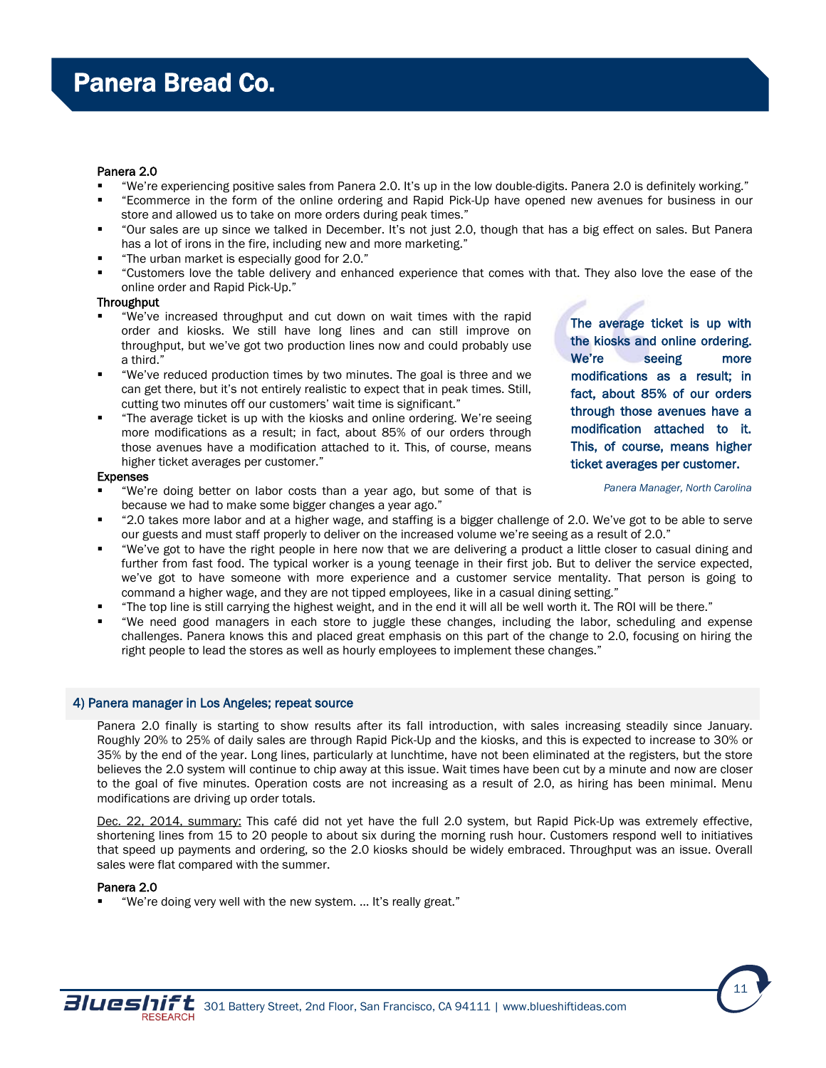#### Panera 2.0

- "We're experiencing positive sales from Panera 2.0. It's up in the low double-digits. Panera 2.0 is definitely working."
- "Ecommerce in the form of the online ordering and Rapid Pick-Up have opened new avenues for business in our store and allowed us to take on more orders during peak times."
- "Our sales are up since we talked in December. It's not just 2.0, though that has a big effect on sales. But Panera has a lot of irons in the fire, including new and more marketing."
- "The urban market is especially good for 2.0."
- "Customers love the table delivery and enhanced experience that comes with that. They also love the ease of the online order and Rapid Pick-Up."

#### **Throughput**

- "We've increased throughput and cut down on wait times with the rapid order and kiosks. We still have long lines and can still improve on throughput, but we've got two production lines now and could probably use a third."
- "We've reduced production times by two minutes. The goal is three and we can get there, but it's not entirely realistic to expect that in peak times. Still, cutting two minutes off our customers' wait time is significant."
- "The average ticket is up with the kiosks and online ordering. We're seeing more modifications as a result; in fact, about 85% of our orders through those avenues have a modification attached to it. This, of course, means higher ticket averages per customer."

#### Expenses

- "We're doing better on labor costs than a year ago, but some of that is because we had to make some bigger changes a year ago."
- The average ticket is up with the kiosks and online ordering. We're seeing more modifications as a result; in fact, about 85% of our orders through those avenues have a modification attached to it. This, of course, means higher ticket averages per customer.

*Panera Manager, North Carolina*

- "2.0 takes more labor and at a higher wage, and staffing is a bigger challenge of 2.0. We've got to be able to serve our guests and must staff properly to deliver on the increased volume we're seeing as a result of 2.0."
- "We've got to have the right people in here now that we are delivering a product a little closer to casual dining and further from fast food. The typical worker is a young teenage in their first job. But to deliver the service expected, we've got to have someone with more experience and a customer service mentality. That person is going to command a higher wage, and they are not tipped employees, like in a casual dining setting."
- "The top line is still carrying the highest weight, and in the end it will all be well worth it. The ROI will be there."
- "We need good managers in each store to juggle these changes, including the labor, scheduling and expense challenges. Panera knows this and placed great emphasis on this part of the change to 2.0, focusing on hiring the right people to lead the stores as well as hourly employees to implement these changes."

#### 4) Panera manager in Los Angeles; repeat source

Panera 2.0 finally is starting to show results after its fall introduction, with sales increasing steadily since January. Roughly 20% to 25% of daily sales are through Rapid Pick-Up and the kiosks, and this is expected to increase to 30% or 35% by the end of the year. Long lines, particularly at lunchtime, have not been eliminated at the registers, but the store believes the 2.0 system will continue to chip away at this issue. Wait times have been cut by a minute and now are closer to the goal of five minutes. Operation costs are not increasing as a result of 2.0, as hiring has been minimal. Menu modifications are driving up order totals.

Dec. 22, 2014, summary: This café did not yet have the full 2.0 system, but Rapid Pick-Up was extremely effective, shortening lines from 15 to 20 people to about six during the morning rush hour. Customers respond well to initiatives that speed up payments and ordering, so the 2.0 kiosks should be widely embraced. Throughput was an issue. Overall sales were flat compared with the summer.

#### Panera 2.0

"We're doing very well with the new system. … It's really great."



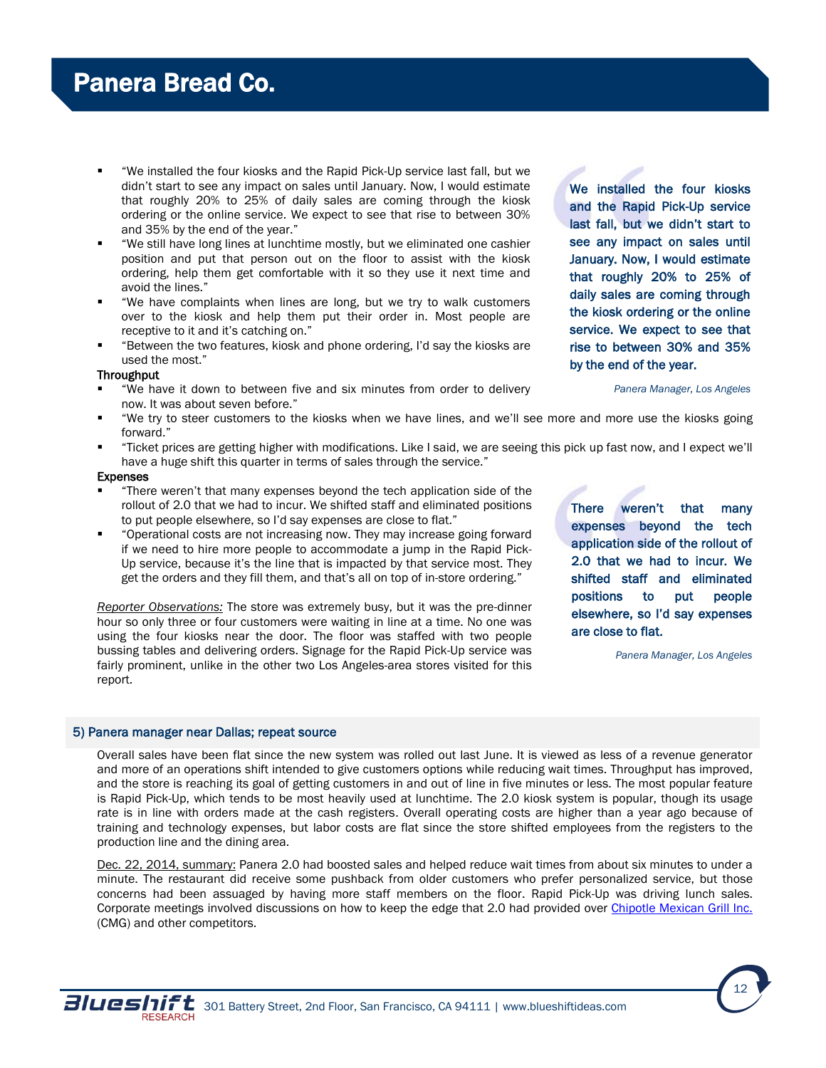- "We installed the four kiosks and the Rapid Pick-Up service last fall, but we didn't start to see any impact on sales until January. Now, I would estimate that roughly 20% to 25% of daily sales are coming through the kiosk ordering or the online service. We expect to see that rise to between 30% and 35% by the end of the year."
- "We still have long lines at lunchtime mostly, but we eliminated one cashier position and put that person out on the floor to assist with the kiosk ordering, help them get comfortable with it so they use it next time and avoid the lines."
- "We have complaints when lines are long, but we try to walk customers over to the kiosk and help them put their order in. Most people are receptive to it and it's catching on."
- "Between the two features, kiosk and phone ordering, I'd say the kiosks are used the most."

#### **Throughput**

- "We have it down to between five and six minutes from order to delivery now. It was about seven before."
- "We try to steer customers to the kiosks when we have lines, and we'll see more and more use the kiosks going forward."
- "Ticket prices are getting higher with modifications. Like I said, we are seeing this pick up fast now, and I expect we'll have a huge shift this quarter in terms of sales through the service."

#### Expenses

- "There weren't that many expenses beyond the tech application side of the rollout of 2.0 that we had to incur. We shifted staff and eliminated positions to put people elsewhere, so I'd say expenses are close to flat."
- "Operational costs are not increasing now. They may increase going forward if we need to hire more people to accommodate a jump in the Rapid Pick-Up service, because it's the line that is impacted by that service most. They get the orders and they fill them, and that's all on top of in-store ordering."

*Reporter Observations:* The store was extremely busy, but it was the pre-dinner hour so only three or four customers were waiting in line at a time. No one was using the four kiosks near the door. The floor was staffed with two people bussing tables and delivering orders. Signage for the Rapid Pick-Up service was fairly prominent, unlike in the other two Los Angeles-area stores visited for this report.

There weren't that many expenses beyond the tech application side of the rollout of 2.0 that we had to incur. We shifted staff and eliminated positions to put people elsewhere, so I'd say expenses are close to flat.

*Panera Manager, Los Angeles*

#### 5) Panera manager near Dallas; repeat source

Overall sales have been flat since the new system was rolled out last June. It is viewed as less of a revenue generator and more of an operations shift intended to give customers options while reducing wait times. Throughput has improved, and the store is reaching its goal of getting customers in and out of line in five minutes or less. The most popular feature is Rapid Pick-Up, which tends to be most heavily used at lunchtime. The 2.0 kiosk system is popular, though its usage rate is in line with orders made at the cash registers. Overall operating costs are higher than a year ago because of training and technology expenses, but labor costs are flat since the store shifted employees from the registers to the production line and the dining area.

Dec. 22, 2014, summary: Panera 2.0 had boosted sales and helped reduce wait times from about six minutes to under a minute. The restaurant did receive some pushback from older customers who prefer personalized service, but those concerns had been assuaged by having more staff members on the floor. Rapid Pick-Up was driving lunch sales. Corporate meetings involved discussions on how to keep the edge that 2.0 had provided over Chipotle [Mexican Grill Inc.](http://www.chipotle.com/en-US/default.aspx?type=default) (CMG) and other competitors.





12

daily sales are coming through the kiosk ordering or the online service. We expect to see that rise to between 30% and 35% by the end of the year. *Panera Manager, Los Angeles*

We installed the four kiosks and the Rapid Pick-Up service last fall, but we didn't start to see any impact on sales until January. Now, I would estimate that roughly 20% to 25% of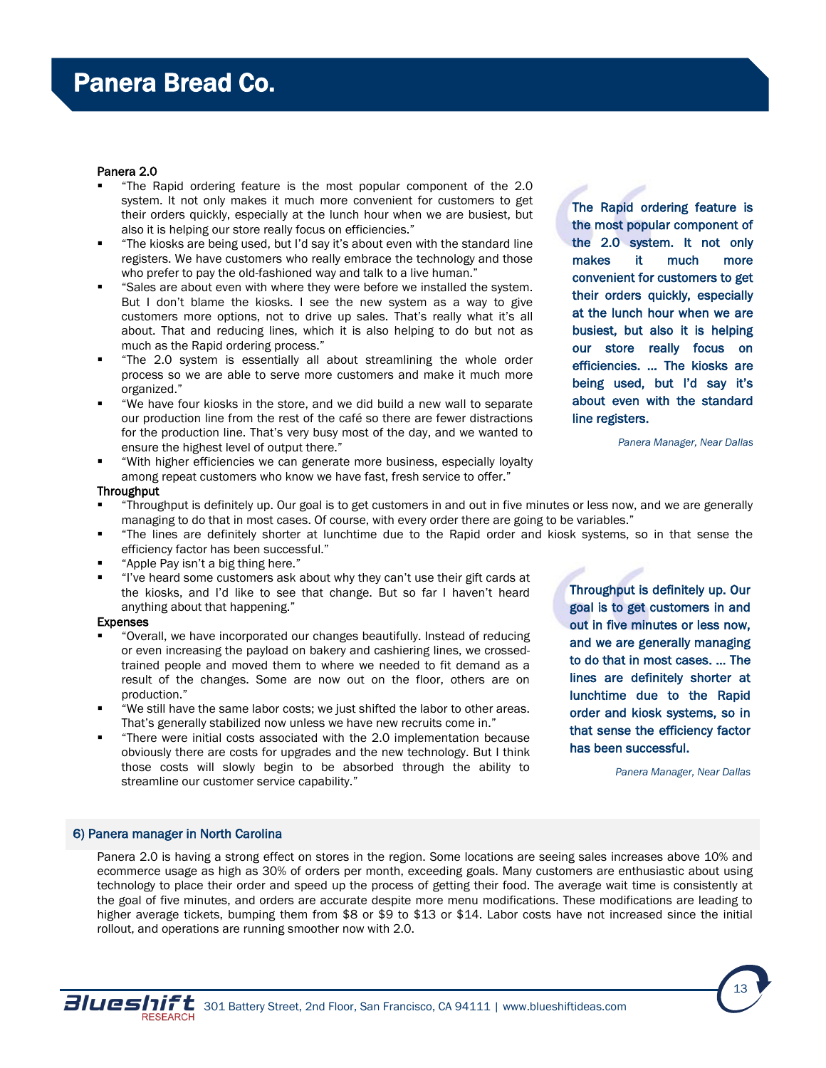#### Panera 2.0

- "The Rapid ordering feature is the most popular component of the 2.0 system. It not only makes it much more convenient for customers to get their orders quickly, especially at the lunch hour when we are busiest, but also it is helping our store really focus on efficiencies."
- "The kiosks are being used, but I'd say it's about even with the standard line registers. We have customers who really embrace the technology and those who prefer to pay the old-fashioned way and talk to a live human."
- "Sales are about even with where they were before we installed the system. But I don't blame the kiosks. I see the new system as a way to give customers more options, not to drive up sales. That's really what it's all about. That and reducing lines, which it is also helping to do but not as much as the Rapid ordering process."
- "The 2.0 system is essentially all about streamlining the whole order process so we are able to serve more customers and make it much more organized."
- "We have four kiosks in the store, and we did build a new wall to separate our production line from the rest of the café so there are fewer distractions for the production line. That's very busy most of the day, and we wanted to ensure the highest level of output there."
- "With higher efficiencies we can generate more business, especially loyalty among repeat customers who know we have fast, fresh service to offer."

**Throughput** 

- "Throughput is definitely up. Our goal is to get customers in and out in five minutes or less now, and we are generally managing to do that in most cases. Of course, with every order there are going to be variables."
- "The lines are definitely shorter at lunchtime due to the Rapid order and kiosk systems, so in that sense the efficiency factor has been successful."
- "Apple Pay isn't a big thing here."
- "I've heard some customers ask about why they can't use their gift cards at the kiosks, and I'd like to see that change. But so far I haven't heard anything about that happening."

#### Expenses

- "Overall, we have incorporated our changes beautifully. Instead of reducing or even increasing the payload on bakery and cashiering lines, we crossedtrained people and moved them to where we needed to fit demand as a result of the changes. Some are now out on the floor, others are on production."
- "We still have the same labor costs; we just shifted the labor to other areas. That's generally stabilized now unless we have new recruits come in."
- "There were initial costs associated with the 2.0 implementation because obviously there are costs for upgrades and the new technology. But I think those costs will slowly begin to be absorbed through the ability to streamline our customer service capability."

Throughput is definitely up. Our goal is to get customers in and out in five minutes or less now, and we are generally managing to do that in most cases. … The lines are definitely shorter at lunchtime due to the Rapid order and kiosk systems, so in that sense the efficiency factor has been successful.

*Panera Manager, Near Dallas*

#### 6) Panera manager in North Carolina

Panera 2.0 is having a strong effect on stores in the region. Some locations are seeing sales increases above 10% and ecommerce usage as high as 30% of orders per month, exceeding goals. Many customers are enthusiastic about using technology to place their order and speed up the process of getting their food. The average wait time is consistently at the goal of five minutes, and orders are accurate despite more menu modifications. These modifications are leading to higher average tickets, bumping them from \$8 or \$9 to \$13 or \$14. Labor costs have not increased since the initial rollout, and operations are running smoother now with 2.0.



The Rapid ordering feature is the most popular component of the 2.0 system. It not only makes it much more convenient for customers to get their orders quickly, especially at the lunch hour when we are busiest, but also it is helping our store really focus on efficiencies. … The kiosks are being used, but I'd say it's about even with the standard line registers.

*Panera Manager, Near Dallas*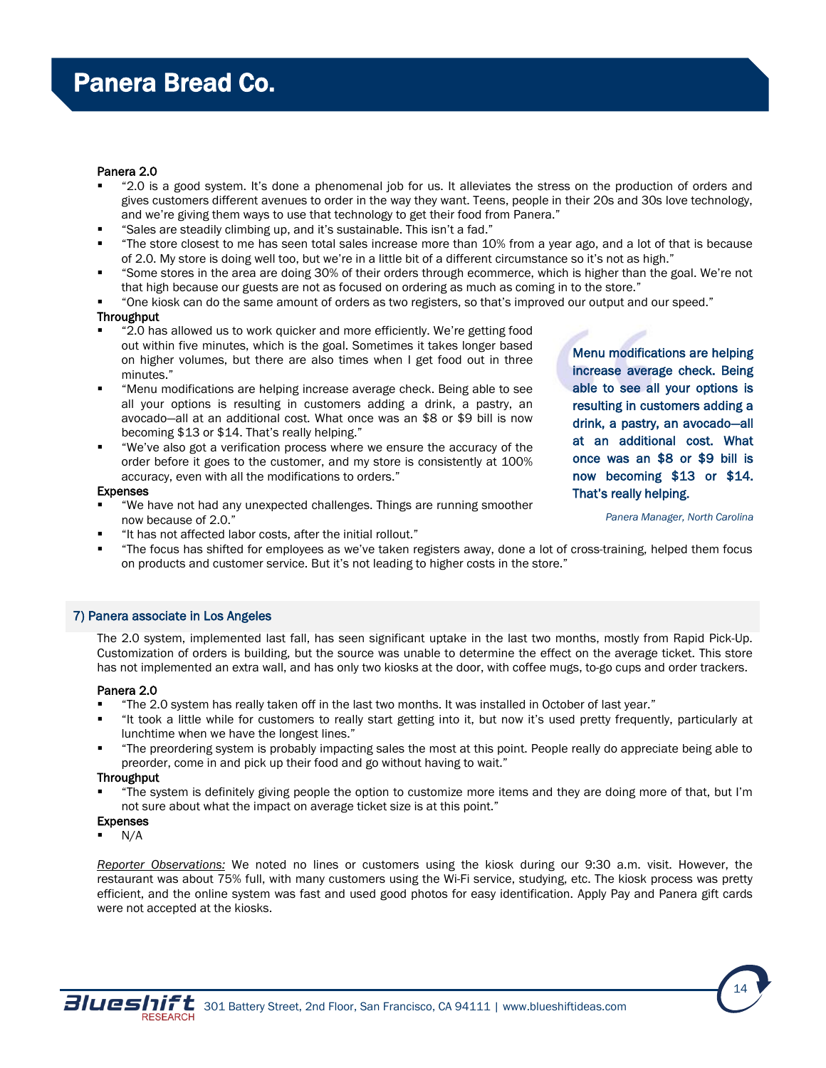#### Panera 2.0

- "2.0 is a good system. It's done a phenomenal job for us. It alleviates the stress on the production of orders and gives customers different avenues to order in the way they want. Teens, people in their 20s and 30s love technology, and we're giving them ways to use that technology to get their food from Panera."
- "Sales are steadily climbing up, and it's sustainable. This isn't a fad."
- "The store closest to me has seen total sales increase more than 10% from a year ago, and a lot of that is because of 2.0. My store is doing well too, but we're in a little bit of a different circumstance so it's not as high."
- "Some stores in the area are doing 30% of their orders through ecommerce, which is higher than the goal. We're not that high because our guests are not as focused on ordering as much as coming in to the store."
- "One kiosk can do the same amount of orders as two registers, so that's improved our output and our speed."

#### **Throughput**

- "2.0 has allowed us to work quicker and more efficiently. We're getting food out within five minutes, which is the goal. Sometimes it takes longer based on higher volumes, but there are also times when I get food out in three minutes."
- "Menu modifications are helping increase average check. Being able to see all your options is resulting in customers adding a drink, a pastry, an avocado—all at an additional cost. What once was an \$8 or \$9 bill is now becoming \$13 or \$14. That's really helping."
- "We've also got a verification process where we ensure the accuracy of the order before it goes to the customer, and my store is consistently at 100% accuracy, even with all the modifications to orders."

#### Expenses

- "We have not had any unexpected challenges. Things are running smoother now because of 2.0."
- "It has not affected labor costs, after the initial rollout."
- "The focus has shifted for employees as we've taken registers away, done a lot of cross-training, helped them focus on products and customer service. But it's not leading to higher costs in the store."

#### 7) Panera associate in Los Angeles

The 2.0 system, implemented last fall, has seen significant uptake in the last two months, mostly from Rapid Pick-Up. Customization of orders is building, but the source was unable to determine the effect on the average ticket. This store has not implemented an extra wall, and has only two kiosks at the door, with coffee mugs, to-go cups and order trackers.

#### Panera 2.0

- "The 2.0 system has really taken off in the last two months. It was installed in October of last year."
- "It took a little while for customers to really start getting into it, but now it's used pretty frequently, particularly at lunchtime when we have the longest lines."
- "The preordering system is probably impacting sales the most at this point. People really do appreciate being able to preorder, come in and pick up their food and go without having to wait."

#### **Throughput**

- "The system is definitely giving people the option to customize more items and they are doing more of that, but I'm not sure about what the impact on average ticket size is at this point."
- Expenses
- N/A

*Reporter Observations:* We noted no lines or customers using the kiosk during our 9:30 a.m. visit. However, the restaurant was about 75% full, with many customers using the Wi-Fi service, studying, etc. The kiosk process was pretty efficient, and the online system was fast and used good photos for easy identification. Apply Pay and Panera gift cards were not accepted at the kiosks.



Menu modifications are helping increase average check. Being able to see all your options is resulting in customers adding a drink, a pastry, an avocado—all at an additional cost. What once was an \$8 or \$9 bill is now becoming \$13 or \$14. That's really helping.

*Panera Manager, North Carolina*

14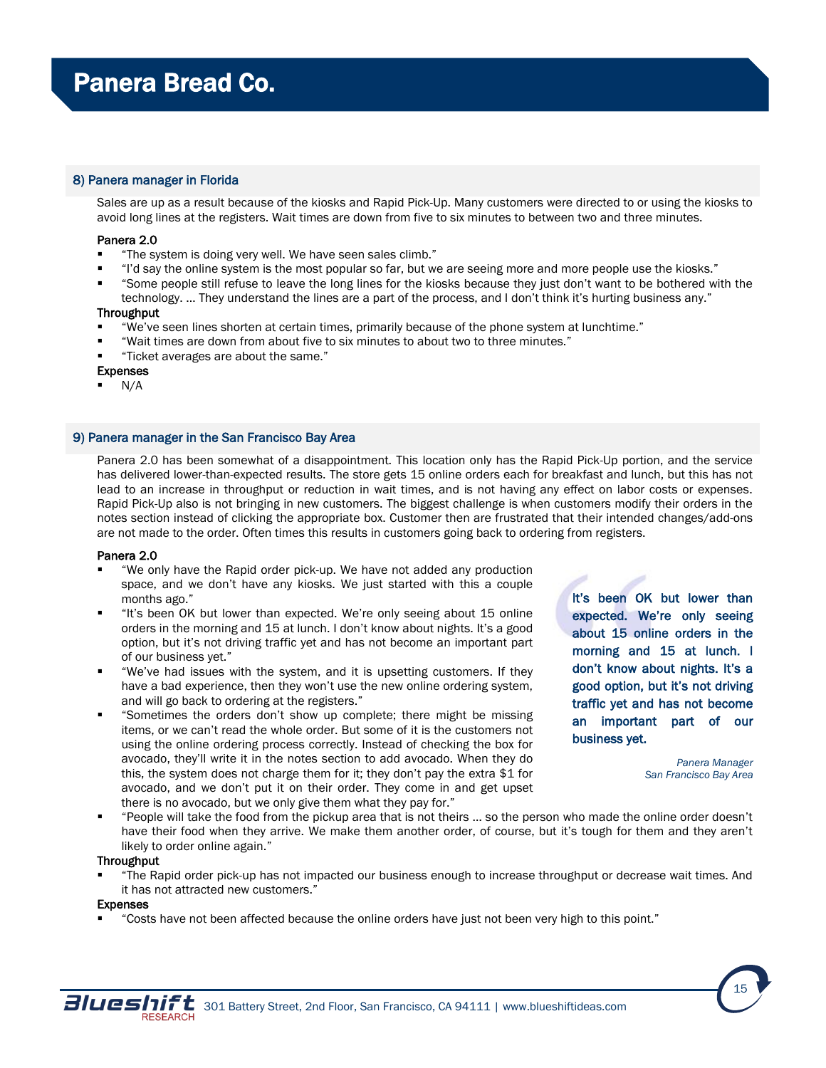## 8) Panera manager in Florida

Sales are up as a result because of the kiosks and Rapid Pick-Up. Many customers were directed to or using the kiosks to avoid long lines at the registers. Wait times are down from five to six minutes to between two and three minutes.

#### Panera 2.0

- "The system is doing very well. We have seen sales climb."
- "I'd say the online system is the most popular so far, but we are seeing more and more people use the kiosks."
- "Some people still refuse to leave the long lines for the kiosks because they just don't want to be bothered with the technology. … They understand the lines are a part of the process, and I don't think it's hurting business any."

#### Throughput

- "We've seen lines shorten at certain times, primarily because of the phone system at lunchtime."
- "Wait times are down from about five to six minutes to about two to three minutes."
- "Ticket averages are about the same."

### Expenses

N/A

#### 9) Panera manager in the San Francisco Bay Area

Panera 2.0 has been somewhat of a disappointment. This location only has the Rapid Pick-Up portion, and the service has delivered lower-than-expected results. The store gets 15 online orders each for breakfast and lunch, but this has not lead to an increase in throughput or reduction in wait times, and is not having any effect on labor costs or expenses. Rapid Pick-Up also is not bringing in new customers. The biggest challenge is when customers modify their orders in the notes section instead of clicking the appropriate box. Customer then are frustrated that their intended changes/add-ons are not made to the order. Often times this results in customers going back to ordering from registers.

#### Panera 2.0

- "We only have the Rapid order pick-up. We have not added any production space, and we don't have any kiosks. We just started with this a couple months ago."
- "It's been OK but lower than expected. We're only seeing about 15 online orders in the morning and 15 at lunch. I don't know about nights. It's a good option, but it's not driving traffic yet and has not become an important part of our business yet."
- "We've had issues with the system, and it is upsetting customers. If they have a bad experience, then they won't use the new online ordering system, and will go back to ordering at the registers."
- "Sometimes the orders don't show up complete; there might be missing items, or we can't read the whole order. But some of it is the customers not using the online ordering process correctly. Instead of checking the box for avocado, they'll write it in the notes section to add avocado. When they do this, the system does not charge them for it; they don't pay the extra \$1 for avocado, and we don't put it on their order. They come in and get upset there is no avocado, but we only give them what they pay for."

It's been OK but lower than expected. We're only seeing about 15 online orders in the morning and 15 at lunch. I don't know about nights. It's a good option, but it's not driving traffic yet and has not become an important part of our business yet.

> *Panera Manager San Francisco Bay Area*

 "People will take the food from the pickup area that is not theirs … so the person who made the online order doesn't have their food when they arrive. We make them another order, of course, but it's tough for them and they aren't likely to order online again."

#### **Throughput**

 "The Rapid order pick-up has not impacted our business enough to increase throughput or decrease wait times. And it has not attracted new customers."

#### Expenses

"Costs have not been affected because the online orders have just not been very high to this point."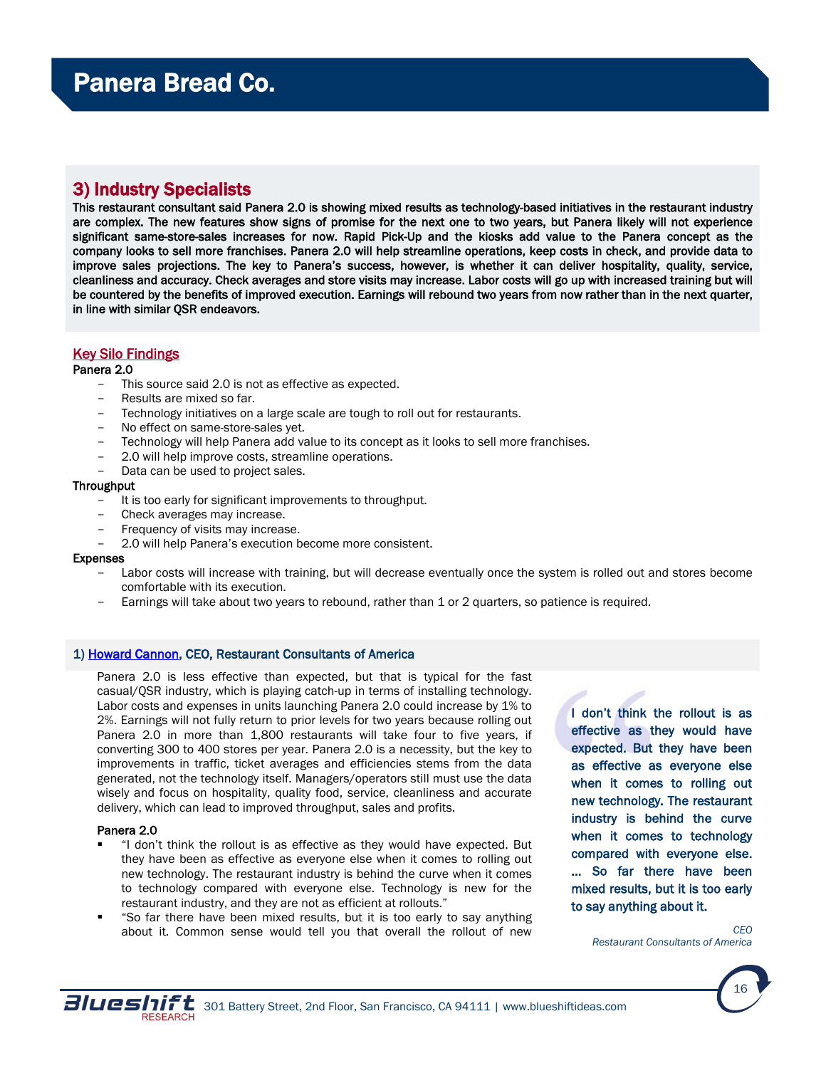## <span id="page-15-0"></span>3) Industry Specialists

This restaurant consultant said Panera 2.0 is showing mixed results as technology-based initiatives in the restaurant industry are complex. The new features show signs of promise for the next one to two years, but Panera likely will not experience significant same-store-sales increases for now. Rapid Pick-Up and the kiosks add value to the Panera concept as the company looks to sell more franchises. Panera 2.0 will help streamline operations, keep costs in check, and provide data to improve sales projections. The key to Panera's success, however, is whether it can deliver hospitality, quality, service, cleanliness and accuracy. Check averages and store visits may increase. Labor costs will go up with increased training but will be countered by the benefits of improved execution. Earnings will rebound two years from now rather than in the next quarter, in line with similar QSR endeavors.

## Key Silo Findings

#### Panera 2.0

- This source said 2.0 is not as effective as expected.
- Results are mixed so far.
- Technology initiatives on a large scale are tough to roll out for restaurants.
- No effect on same-store-sales yet.
- Technology will help Panera add value to its concept as it looks to sell more franchises.
- 2.0 will help improve costs, streamline operations.
- Data can be used to project sales.

#### Throughput

- It is too early for significant improvements to throughput.
- Check averages may increase.
- Frequency of visits may increase.
- 2.0 will help Panera's execution become more consistent.

#### Expenses

- Labor costs will increase with training, but will decrease eventually once the system is rolled out and stores become comfortable with its execution.
- Earnings will take about two years to rebound, rather than 1 or 2 quarters, so patience is required.

#### 1) [Howard Cannon,](http://restaurantconsultantsofamerica.com/our-ceofounder-howard-cannon/) CEO, Restaurant Consultants of America

Panera 2.0 is less effective than expected, but that is typical for the fast casual/QSR industry, which is playing catch-up in terms of installing technology. Labor costs and expenses in units launching Panera 2.0 could increase by 1% to 2%. Earnings will not fully return to prior levels for two years because rolling out Panera 2.0 in more than 1,800 restaurants will take four to five years, if converting 300 to 400 stores per year. Panera 2.0 is a necessity, but the key to improvements in traffic, ticket averages and efficiencies stems from the data generated, not the technology itself. Managers/operators still must use the data wisely and focus on hospitality, quality food, service, cleanliness and accurate delivery, which can lead to improved throughput, sales and profits.

#### Panera 2.0

- "I don't think the rollout is as effective as they would have expected. But they have been as effective as everyone else when it comes to rolling out new technology. The restaurant industry is behind the curve when it comes to technology compared with everyone else. Technology is new for the restaurant industry, and they are not as efficient at rollouts."
- "So far there have been mixed results, but it is too early to say anything about it. Common sense would tell you that overall the rollout of new

I don't think the rollout is as effective as they would have expected. But they have been as effective as everyone else when it comes to rolling out new technology. The restaurant industry is behind the curve when it comes to technology compared with everyone else. … So far there have been mixed results, but it is too early to say anything about it.

> *CEO Restaurant Consultants of America*

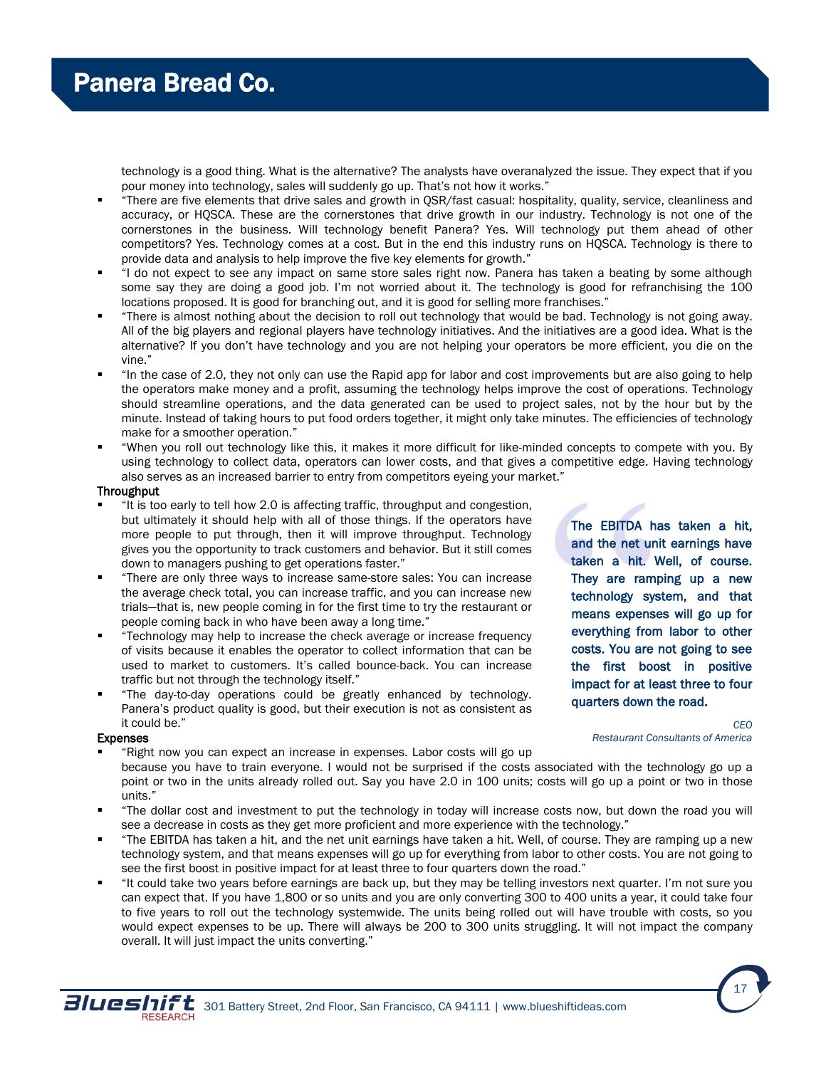technology is a good thing. What is the alternative? The analysts have overanalyzed the issue. They expect that if you pour money into technology, sales will suddenly go up. That's not how it works."

- "There are five elements that drive sales and growth in QSR/fast casual: hospitality, quality, service, cleanliness and accuracy, or HQSCA. These are the cornerstones that drive growth in our industry. Technology is not one of the cornerstones in the business. Will technology benefit Panera? Yes. Will technology put them ahead of other competitors? Yes. Technology comes at a cost. But in the end this industry runs on HQSCA. Technology is there to provide data and analysis to help improve the five key elements for growth."
- "I do not expect to see any impact on same store sales right now. Panera has taken a beating by some although some say they are doing a good job. I'm not worried about it. The technology is good for refranchising the 100 locations proposed. It is good for branching out, and it is good for selling more franchises."
- "There is almost nothing about the decision to roll out technology that would be bad. Technology is not going away. All of the big players and regional players have technology initiatives. And the initiatives are a good idea. What is the alternative? If you don't have technology and you are not helping your operators be more efficient, you die on the vine."
- "In the case of 2.0, they not only can use the Rapid app for labor and cost improvements but are also going to help the operators make money and a profit, assuming the technology helps improve the cost of operations. Technology should streamline operations, and the data generated can be used to project sales, not by the hour but by the minute. Instead of taking hours to put food orders together, it might only take minutes. The efficiencies of technology make for a smoother operation."
- "When you roll out technology like this, it makes it more difficult for like-minded concepts to compete with you. By using technology to collect data, operators can lower costs, and that gives a competitive edge. Having technology also serves as an increased barrier to entry from competitors eyeing your market."

#### **Throughput**

- "It is too early to tell how 2.0 is affecting traffic, throughput and congestion, but ultimately it should help with all of those things. If the operators have more people to put through, then it will improve throughput. Technology gives you the opportunity to track customers and behavior. But it still comes down to managers pushing to get operations faster."
- "There are only three ways to increase same-store sales: You can increase the average check total, you can increase traffic, and you can increase new trials—that is, new people coming in for the first time to try the restaurant or people coming back in who have been away a long time."
- "Technology may help to increase the check average or increase frequency of visits because it enables the operator to collect information that can be used to market to customers. It's called bounce-back. You can increase traffic but not through the technology itself."
- "The day-to-day operations could be greatly enhanced by technology. Panera's product quality is good, but their execution is not as consistent as it could be."

#### Expenses

- "Right now you can expect an increase in expenses. Labor costs will go up because you have to train everyone. I would not be surprised if the costs associated with the technology go up a point or two in the units already rolled out. Say you have 2.0 in 100 units; costs will go up a point or two in those units."
- "The dollar cost and investment to put the technology in today will increase costs now, but down the road you will see a decrease in costs as they get more proficient and more experience with the technology."
- "The EBITDA has taken a hit, and the net unit earnings have taken a hit. Well, of course. They are ramping up a new technology system, and that means expenses will go up for everything from labor to other costs. You are not going to see the first boost in positive impact for at least three to four quarters down the road."
- "It could take two years before earnings are back up, but they may be telling investors next quarter. I'm not sure you can expect that. If you have 1,800 or so units and you are only converting 300 to 400 units a year, it could take four to five years to roll out the technology systemwide. The units being rolled out will have trouble with costs, so you would expect expenses to be up. There will always be 200 to 300 units struggling. It will not impact the company overall. It will just impact the units converting."

The EBITDA has taken a hit, and the net unit earnings have taken a hit. Well, of course. They are ramping up a new technology system, and that means expenses will go up for everything from labor to other costs. You are not going to see the first boost in positive impact for at least three to four quarters down the road.



17

*CEO Restaurant Consultants of America*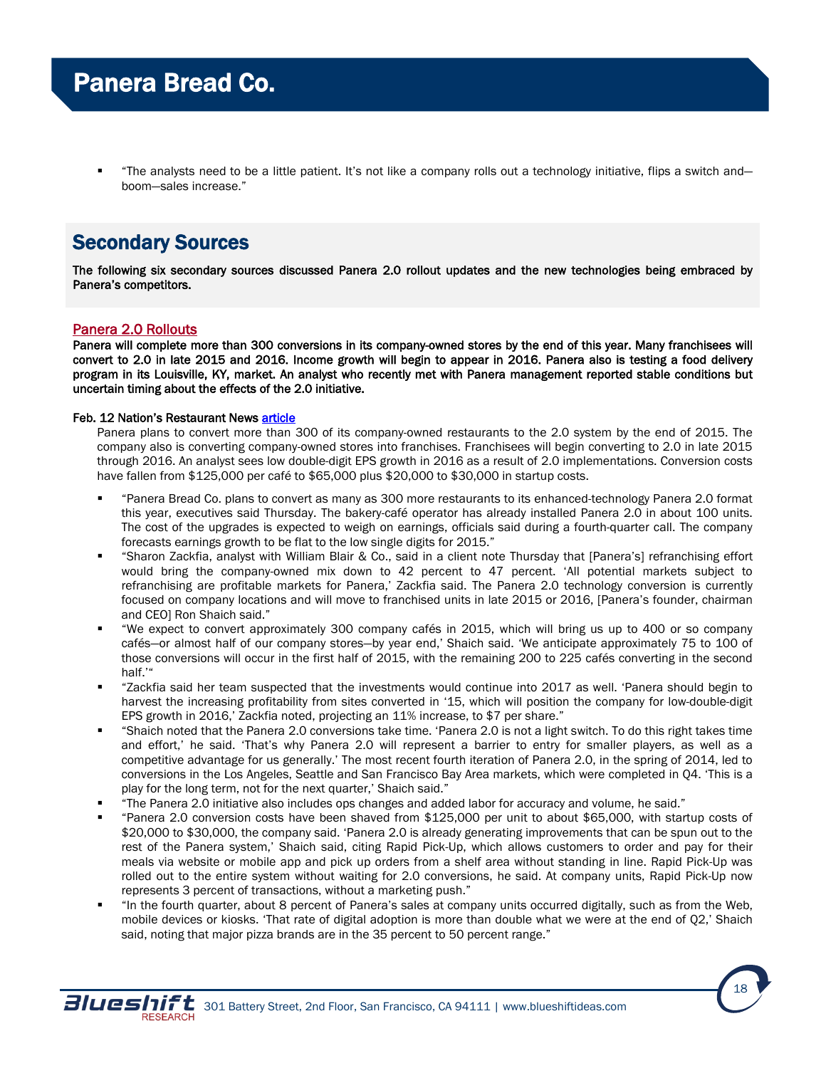"The analysts need to be a little patient. It's not like a company rolls out a technology initiative, flips a switch and boom—sales increase."

## Secondary Sources

The following six secondary sources discussed Panera 2.0 rollout updates and the new technologies being embraced by Panera's competitors.

## Panera 2.0 Rollouts

Panera will complete more than 300 conversions in its company-owned stores by the end of this year. Many franchisees will convert to 2.0 in late 2015 and 2016. Income growth will begin to appear in 2016. Panera also is testing a food delivery program in its Louisville, KY, market. An analyst who recently met with Panera management reported stable conditions but uncertain timing about the effects of the 2.0 initiative.

#### Feb. 12 Nation's Restaurant News [article](http://nrn.com/fast-casual/panera-extend-upgrades-300-more-units)

Panera plans to convert more than 300 of its company-owned restaurants to the 2.0 system by the end of 2015. The company also is converting company-owned stores into franchises. Franchisees will begin converting to 2.0 in late 2015 through 2016. An analyst sees low double-digit EPS growth in 2016 as a result of 2.0 implementations. Conversion costs have fallen from \$125,000 per café to \$65,000 plus \$20,000 to \$30,000 in startup costs.

- "Panera Bread Co. plans to convert as many as 300 more restaurants to its enhanced-technology Panera 2.0 format this year, executives said Thursday. The bakery-café operator has already installed Panera 2.0 in about 100 units. The cost of the upgrades is expected to weigh on earnings, officials said during a fourth-quarter call. The company forecasts earnings growth to be flat to the low single digits for 2015."
- "Sharon Zackfia, analyst with William Blair & Co., said in a client note Thursday that [Panera's] refranchising effort would bring the company-owned mix down to 42 percent to 47 percent. 'All potential markets subject to refranchising are profitable markets for Panera,' Zackfia said. The Panera 2.0 technology conversion is currently focused on company locations and will move to franchised units in late 2015 or 2016, [Panera's founder, chairman and CEO] Ron Shaich said."
- "We expect to convert approximately 300 company cafés in 2015, which will bring us up to 400 or so company cafés—or almost half of our company stores—by year end,' Shaich said. 'We anticipate approximately 75 to 100 of those conversions will occur in the first half of 2015, with the remaining 200 to 225 cafés converting in the second half.'"
- "Zackfia said her team suspected that the investments would continue into 2017 as well. 'Panera should begin to harvest the increasing profitability from sites converted in '15, which will position the company for low-double-digit EPS growth in 2016,' Zackfia noted, projecting an 11% increase, to \$7 per share."
- "Shaich noted that the Panera 2.0 conversions take time. 'Panera 2.0 is not a light switch. To do this right takes time and effort,' he said. 'That's why Panera 2.0 will represent a barrier to entry for smaller players, as well as a competitive advantage for us generally.' The most recent fourth iteration of Panera 2.0, in the spring of 2014, led to conversions in the Los Angeles, Seattle and San Francisco Bay Area markets, which were completed in Q4. 'This is a play for the long term, not for the next quarter,' Shaich said."
- "The Panera 2.0 initiative also includes ops changes and added labor for accuracy and volume, he said."
- "Panera 2.0 conversion costs have been shaved from \$125,000 per unit to about \$65,000, with startup costs of \$20,000 to \$30,000, the company said. 'Panera 2.0 is already generating improvements that can be spun out to the rest of the Panera system,' Shaich said, citing Rapid Pick-Up, which allows customers to order and pay for their meals via website or mobile app and pick up orders from a shelf area without standing in line. Rapid Pick-Up was rolled out to the entire system without waiting for 2.0 conversions, he said. At company units, Rapid Pick-Up now represents 3 percent of transactions, without a marketing push."
- "In the fourth quarter, about 8 percent of Panera's sales at company units occurred digitally, such as from the Web, mobile devices or kiosks. 'That rate of digital adoption is more than double what we were at the end of Q2,' Shaich said, noting that major pizza brands are in the 35 percent to 50 percent range."

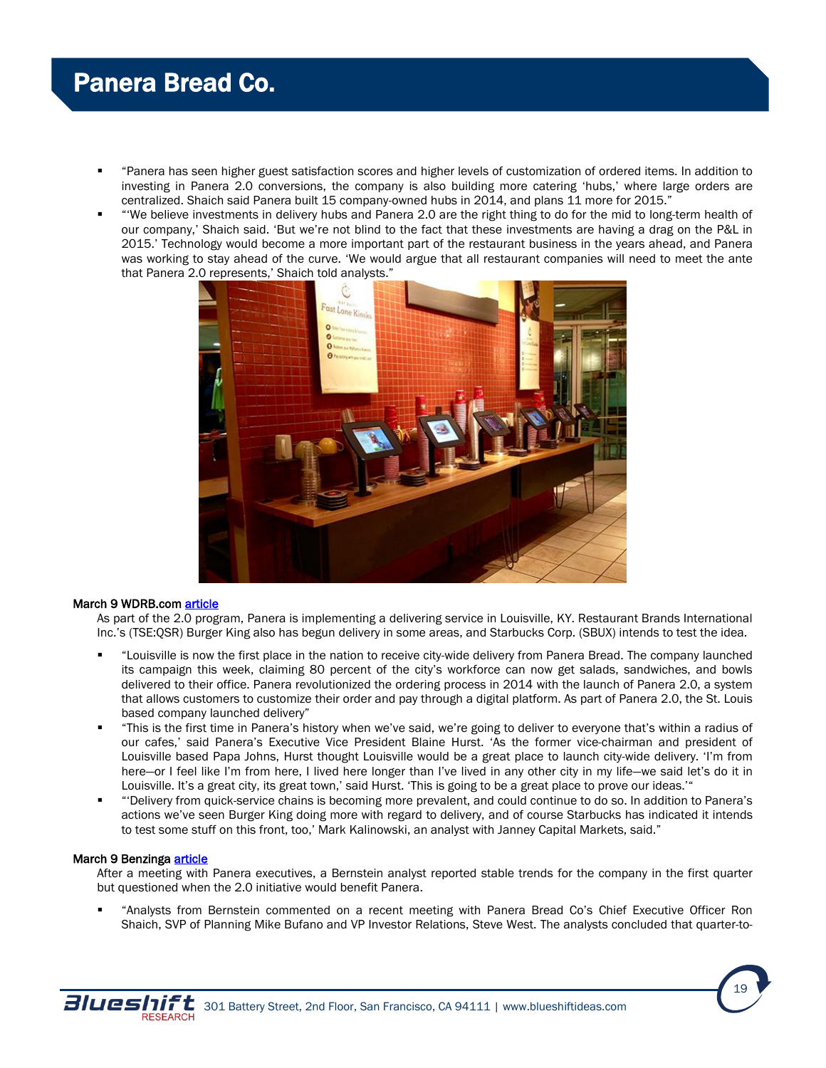- "Panera has seen higher guest satisfaction scores and higher levels of customization of ordered items. In addition to investing in Panera 2.0 conversions, the company is also building more catering 'hubs,' where large orders are centralized. Shaich said Panera built 15 company-owned hubs in 2014, and plans 11 more for 2015."
- "'We believe investments in delivery hubs and Panera 2.0 are the right thing to do for the mid to long-term health of our company,' Shaich said. 'But we're not blind to the fact that these investments are having a drag on the P&L in 2015.' Technology would become a more important part of the restaurant business in the years ahead, and Panera was working to stay ahead of the curve. 'We would argue that all restaurant companies will need to meet the ante that Panera 2.0 represents,' Shaich told analysts."



#### March 9 WDRB.com [article](http://www.wdrb.com/story/28311340/panera-bread-launches-first-ever-city-wide-delivery-in-louisville)

As part of the 2.0 program, Panera is implementing a delivering service in Louisville, KY. Restaurant Brands International Inc.'s (TSE:QSR) Burger King also has begun delivery in some areas, and Starbucks Corp. (SBUX) intends to test the idea.

- "Louisville is now the first place in the nation to receive city-wide delivery from Panera Bread. The company launched its campaign this week, claiming 80 percent of the city's workforce can now get salads, sandwiches, and bowls delivered to their office. Panera revolutionized the ordering process in 2014 with the launch of Panera 2.0, a system that allows customers to customize their order and pay through a digital platform. As part of Panera 2.0, the St. Louis based company launched delivery"
- "This is the first time in Panera's history when we've said, we're going to deliver to everyone that's within a radius of our cafes,' said Panera's Executive Vice President Blaine Hurst. 'As the former vice-chairman and president of Louisville based Papa Johns, Hurst thought Louisville would be a great place to launch city-wide delivery. 'I'm from here—or I feel like I'm from here, I lived here longer than I've lived in any other city in my life—we said let's do it in Louisville. It's a great city, its great town,' said Hurst. 'This is going to be a great place to prove our ideas.'"
- "'Delivery from quick-service chains is becoming more prevalent, and could continue to do so. In addition to Panera's actions we've seen Burger King doing more with regard to delivery, and of course Starbucks has indicated it intends to test some stuff on this front, too,' Mark Kalinowski, an analyst with Janney Capital Markets, said."

#### March 9 Benzinga [article](http://www.benzinga.com/analyst-ratings/analyst-color/15/03/5308348/bernstein-says-panera-bread-confident-in-2-0-initiative-)

After a meeting with Panera executives, a Bernstein analyst reported stable trends for the company in the first quarter but questioned when the 2.0 initiative would benefit Panera.

 "Analysts from Bernstein commented on a recent meeting with Panera Bread Co's Chief Executive Officer Ron Shaich, SVP of Planning Mike Bufano and VP Investor Relations, Steve West. The analysts concluded that quarter-to-

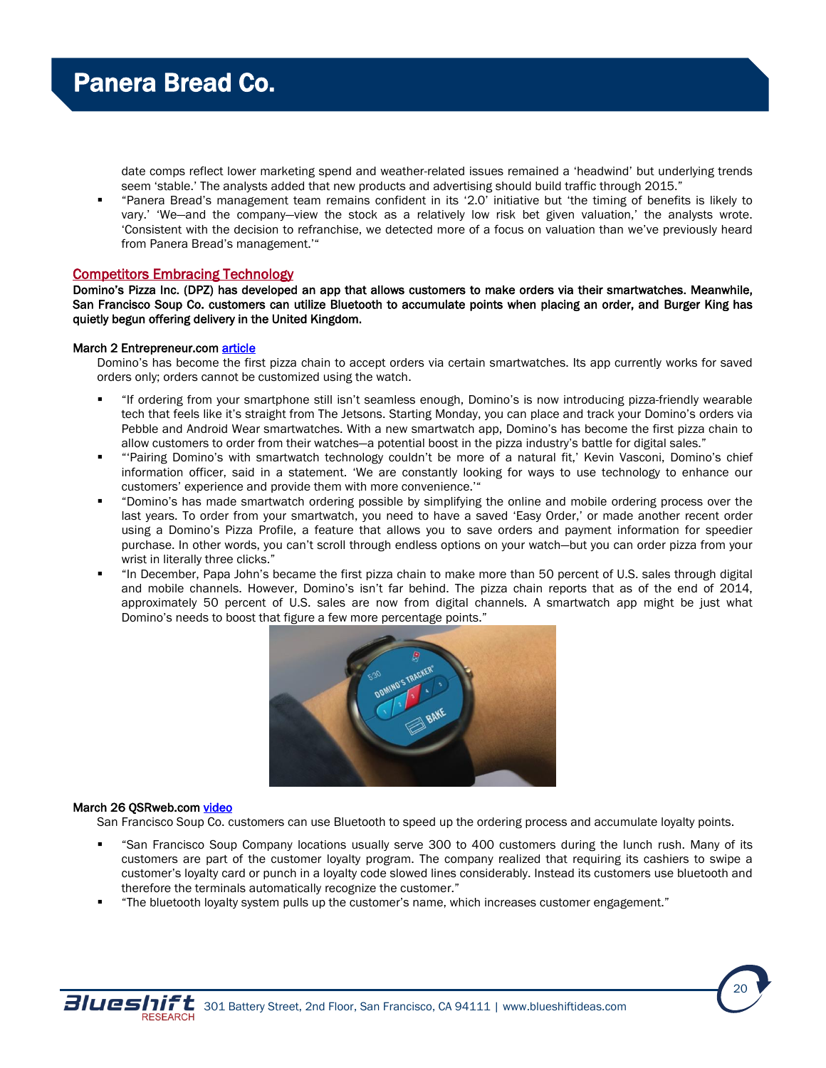date comps reflect lower marketing spend and weather-related issues remained a 'headwind' but underlying trends seem 'stable.' The analysts added that new products and advertising should build traffic through 2015."

 "Panera Bread's management team remains confident in its '2.0' initiative but 'the timing of benefits is likely to vary.' 'We—and the company—view the stock as a relatively low risk bet given valuation,' the analysts wrote. 'Consistent with the decision to refranchise, we detected more of a focus on valuation than we've previously heard from Panera Bread's management.'"

### Competitors Embracing Technology

Domino's Pizza Inc. (DPZ) has developed an app that allows customers to make orders via their smartwatches. Meanwhile, San Francisco Soup Co. customers can utilize Bluetooth to accumulate points when placing an order, and Burger King has quietly begun offering delivery in the United Kingdom.

#### March 2 Entrepreneur.com article

Domino's has become the first pizza chain to accept orders via certain smartwatches. Its app currently works for saved orders only; orders cannot be customized using the watch.

- "If ordering from your smartphone still isn't seamless enough, Domino's is now introducing pizza-friendly wearable tech that feels like it's straight from The Jetsons. Starting Monday, you can place and track your Domino's orders via Pebble and Android Wear smartwatches. With a new smartwatch app, Domino's has become the first pizza chain to allow customers to order from their watches—a potential boost in the pizza industry's battle for digital sales."
- "'Pairing Domino's with smartwatch technology couldn't be more of a natural fit,' Kevin Vasconi, Domino's chief information officer, said in a statement. 'We are constantly looking for ways to use technology to enhance our customers' experience and provide them with more convenience.'"
- "Domino's has made smartwatch ordering possible by simplifying the online and mobile ordering process over the last years. To order from your smartwatch, you need to have a saved 'Easy Order,' or made another recent order using a Domino's Pizza Profile, a feature that allows you to save orders and payment information for speedier purchase. In other words, you can't scroll through endless options on your watch—but you can order pizza from your wrist in literally three clicks."
- "In December, Papa John's became the first pizza chain to make more than 50 percent of U.S. sales through digital and mobile channels. However, Domino's isn't far behind. The pizza chain reports that as of the end of 2014, approximately 50 percent of U.S. sales are now from digital channels. A smartwatch app might be just what Domino's needs to boost that figure a few more percentage points."



#### March 26 QSRweb.com video

San Francisco Soup Co. customers can use Bluetooth to speed up the ordering process and accumulate loyalty points.

- "San Francisco Soup Company locations usually serve 300 to 400 customers during the lunch rush. Many of its customers are part of the customer loyalty program. The company realized that requiring its cashiers to swipe a customer's loyalty card or punch in a loyalty code slowed lines considerably. Instead its customers use bluetooth and therefore the terminals automatically recognize the customer."
- "The bluetooth loyalty system pulls up the customer's name, which increases customer engagement."